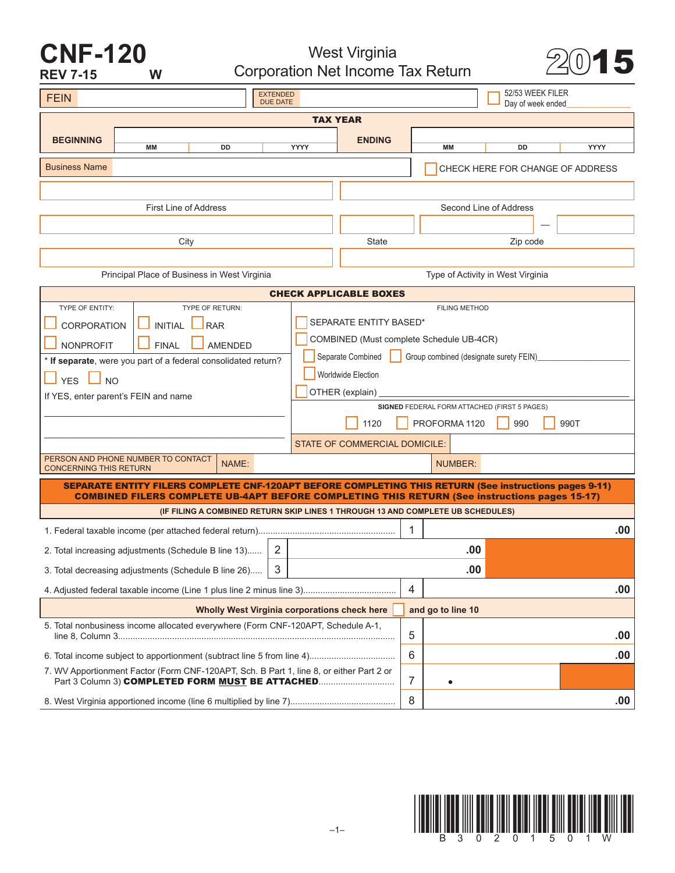### **CNF-120 REV 7-15 W**

West Virginia West Virginia<br>Corporation Net Income Tax Return 20015



| <b>EXTENDED</b><br><b>FEIN</b><br><b>DUE DATE</b>                                 |                                                                                                                                                                                                                |    |                                              |                                                             |                                              |   |                                                                                 | 52/53 WEEK FILER<br>Day of week ended |      |
|-----------------------------------------------------------------------------------|----------------------------------------------------------------------------------------------------------------------------------------------------------------------------------------------------------------|----|----------------------------------------------|-------------------------------------------------------------|----------------------------------------------|---|---------------------------------------------------------------------------------|---------------------------------------|------|
|                                                                                   |                                                                                                                                                                                                                |    |                                              | <b>TAX YEAR</b>                                             |                                              |   |                                                                                 |                                       |      |
| <b>BEGINNING</b>                                                                  |                                                                                                                                                                                                                |    |                                              |                                                             | <b>ENDING</b>                                |   |                                                                                 |                                       |      |
|                                                                                   | MМ                                                                                                                                                                                                             | DD |                                              | YYYY                                                        |                                              |   | MM                                                                              | DD                                    | YYYY |
| <b>Business Name</b>                                                              |                                                                                                                                                                                                                |    |                                              |                                                             | CHECK HERE FOR CHANGE OF ADDRESS             |   |                                                                                 |                                       |      |
|                                                                                   |                                                                                                                                                                                                                |    |                                              |                                                             |                                              |   |                                                                                 |                                       |      |
|                                                                                   | First Line of Address                                                                                                                                                                                          |    |                                              |                                                             |                                              |   | Second Line of Address                                                          |                                       |      |
|                                                                                   |                                                                                                                                                                                                                |    |                                              |                                                             |                                              |   |                                                                                 |                                       |      |
| City                                                                              |                                                                                                                                                                                                                |    |                                              |                                                             | State                                        |   |                                                                                 | Zip code                              |      |
|                                                                                   |                                                                                                                                                                                                                |    |                                              |                                                             |                                              |   |                                                                                 |                                       |      |
| Principal Place of Business in West Virginia<br>Type of Activity in West Virginia |                                                                                                                                                                                                                |    |                                              |                                                             |                                              |   |                                                                                 |                                       |      |
| <b>CHECK APPLICABLE BOXES</b>                                                     |                                                                                                                                                                                                                |    |                                              |                                                             |                                              |   |                                                                                 |                                       |      |
| <b>TYPE OF ENTITY:</b><br><b>TYPE OF RETURN:</b>                                  |                                                                                                                                                                                                                |    | <b>FILING METHOD</b>                         |                                                             |                                              |   |                                                                                 |                                       |      |
| <b>INITIAL</b><br><b>CORPORATION</b><br><b>RAR</b>                                |                                                                                                                                                                                                                |    | SEPARATE ENTITY BASED*                       |                                                             |                                              |   |                                                                                 |                                       |      |
| <b>FINAL</b><br><b>NONPROFIT</b><br><b>AMENDED</b>                                |                                                                                                                                                                                                                |    |                                              | COMBINED (Must complete Schedule UB-4CR)                    |                                              |   |                                                                                 |                                       |      |
| * If separate, were you part of a federal consolidated return?                    |                                                                                                                                                                                                                |    |                                              | Separate Combined<br>Group combined (designate surety FEIN) |                                              |   |                                                                                 |                                       |      |
| <b>NO</b><br><b>YES</b>                                                           |                                                                                                                                                                                                                |    |                                              | <b>Worldwide Election</b>                                   |                                              |   |                                                                                 |                                       |      |
| If YES, enter parent's FEIN and name                                              |                                                                                                                                                                                                                |    | OTHER (explain)                              |                                                             |                                              |   |                                                                                 |                                       |      |
|                                                                                   |                                                                                                                                                                                                                |    | SIGNED FEDERAL FORM ATTACHED (FIRST 5 PAGES) |                                                             |                                              |   |                                                                                 |                                       |      |
|                                                                                   |                                                                                                                                                                                                                |    |                                              | PROFORMA 1120<br>990<br>990T<br>1120                        |                                              |   |                                                                                 |                                       |      |
|                                                                                   |                                                                                                                                                                                                                |    |                                              | <b>STATE OF COMMERCIAL DOMICILE:</b>                        |                                              |   |                                                                                 |                                       |      |
| PERSON AND PHONE NUMBER TO CONTACT<br>NAME:<br><b>CONCERNING THIS RETURN</b>      |                                                                                                                                                                                                                |    |                                              | <b>NUMBER:</b>                                              |                                              |   |                                                                                 |                                       |      |
|                                                                                   | SEPARATE ENTITY FILERS COMPLETE CNF-120APT BEFORE COMPLETING THIS RETURN (See instructions pages 9-11)<br><b>COMBINED FILERS COMPLETE UB-4APT BEFORE COMPLETING THIS RETURN (See instructions pages 15-17)</b> |    |                                              |                                                             |                                              |   |                                                                                 |                                       |      |
|                                                                                   |                                                                                                                                                                                                                |    |                                              |                                                             |                                              |   | (IF FILING A COMBINED RETURN SKIP LINES 1 THROUGH 13 AND COMPLETE UB SCHEDULES) |                                       |      |
|                                                                                   |                                                                                                                                                                                                                |    |                                              |                                                             |                                              | 1 |                                                                                 |                                       | .00  |
|                                                                                   | 2. Total increasing adjustments (Schedule B line 13)                                                                                                                                                           |    | 2                                            |                                                             | .00                                          |   |                                                                                 |                                       |      |
| 3<br>3. Total decreasing adjustments (Schedule B line 26)                         |                                                                                                                                                                                                                |    |                                              | .00                                                         |                                              |   |                                                                                 |                                       |      |
|                                                                                   |                                                                                                                                                                                                                |    |                                              |                                                             |                                              | 4 |                                                                                 |                                       | .00  |
|                                                                                   |                                                                                                                                                                                                                |    |                                              |                                                             | Wholly West Virginia corporations check here |   | and go to line 10                                                               |                                       |      |
|                                                                                   | 5. Total nonbusiness income allocated everywhere (Form CNF-120APT, Schedule A-1,                                                                                                                               |    |                                              |                                                             |                                              | 5 |                                                                                 |                                       | .00  |
|                                                                                   |                                                                                                                                                                                                                |    |                                              |                                                             |                                              | 6 |                                                                                 |                                       | .00  |
|                                                                                   | 7. WV Apportionment Factor (Form CNF-120APT, Sch. B Part 1, line 8, or either Part 2 or                                                                                                                        |    |                                              |                                                             |                                              |   |                                                                                 |                                       |      |
|                                                                                   | Part 3 Column 3) COMPLETED FORM MUST BE ATTACHED                                                                                                                                                               |    |                                              |                                                             |                                              | 7 |                                                                                 |                                       |      |
|                                                                                   |                                                                                                                                                                                                                |    |                                              |                                                             |                                              | 8 |                                                                                 |                                       | .00  |

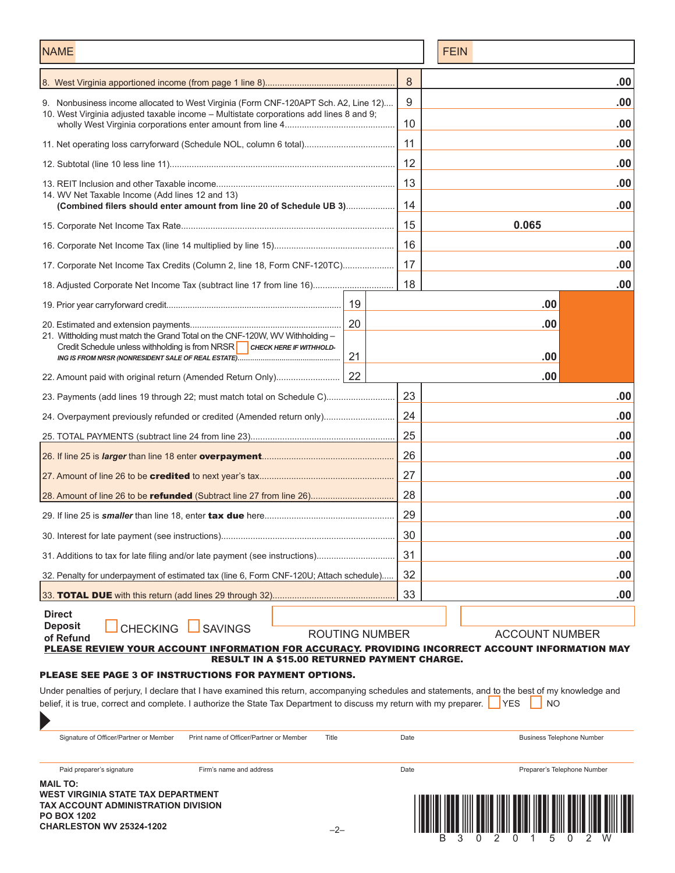| <b>NAME</b>                                                                                                                                                                                                                                                                 |                       | <b>FEIN</b> |     |                                  |
|-----------------------------------------------------------------------------------------------------------------------------------------------------------------------------------------------------------------------------------------------------------------------------|-----------------------|-------------|-----|----------------------------------|
|                                                                                                                                                                                                                                                                             |                       | 8           |     | .00                              |
| 9. Nonbusiness income allocated to West Virginia (Form CNF-120APT Sch. A2, Line 12)                                                                                                                                                                                         |                       | 9           |     | .00                              |
| 10. West Virginia adjusted taxable income – Multistate corporations add lines 8 and 9;                                                                                                                                                                                      |                       | 10          |     | .00                              |
|                                                                                                                                                                                                                                                                             |                       | 11          |     | .00                              |
|                                                                                                                                                                                                                                                                             |                       |             |     | .00                              |
|                                                                                                                                                                                                                                                                             |                       | 13          |     | .00                              |
| 14. WV Net Taxable Income (Add lines 12 and 13)<br>(Combined filers should enter amount from line 20 of Schedule UB 3)                                                                                                                                                      |                       |             |     | .00                              |
|                                                                                                                                                                                                                                                                             |                       | 15          |     | 0.065                            |
|                                                                                                                                                                                                                                                                             |                       | 16          |     | .00                              |
| 17. Corporate Net Income Tax Credits (Column 2, line 18, Form CNF-120TC)                                                                                                                                                                                                    | 17                    |             | .00 |                                  |
|                                                                                                                                                                                                                                                                             |                       |             |     | .00                              |
|                                                                                                                                                                                                                                                                             | 19                    |             |     | .00                              |
| 21. Wittholding must match the Grand Total on the CNF-120W, WV Withholding -                                                                                                                                                                                                | 20                    |             |     | .00                              |
| Credit Schedule unless withholding is from NRSR   CHECK HERE IF WITHHOLD-                                                                                                                                                                                                   | 21                    |             |     | .00                              |
| 22. Amount paid with original return (Amended Return Only)                                                                                                                                                                                                                  | 22                    |             |     | .00                              |
| 23. Payments (add lines 19 through 22; must match total on Schedule C)                                                                                                                                                                                                      |                       | 23          |     | .00                              |
| 24. Overpayment previously refunded or credited (Amended return only)                                                                                                                                                                                                       |                       | 24          |     | .00                              |
|                                                                                                                                                                                                                                                                             |                       | 25          |     | .00                              |
|                                                                                                                                                                                                                                                                             |                       | 26          |     | .00                              |
|                                                                                                                                                                                                                                                                             |                       | 27          |     | .00                              |
|                                                                                                                                                                                                                                                                             |                       | 28          |     | .00                              |
|                                                                                                                                                                                                                                                                             |                       | 29          |     | .00                              |
|                                                                                                                                                                                                                                                                             |                       | 30          |     | .00                              |
| 31. Additions to tax for late filing and/or late payment (see instructions)                                                                                                                                                                                                 |                       | 31          |     | .00                              |
| 32. Penalty for underpayment of estimated tax (line 6, Form CNF-120U; Attach schedule)                                                                                                                                                                                      |                       | 32          |     | .00                              |
| 33. <b>TOTAL DUE</b> with this return (add lines 29 through 32)                                                                                                                                                                                                             |                       | 33          |     | .00                              |
| <b>Direct</b>                                                                                                                                                                                                                                                               |                       |             |     |                                  |
| <b>Deposit</b><br><b>CHECKING</b><br><b>SAVINGS</b><br>of Refund                                                                                                                                                                                                            | <b>ROUTING NUMBER</b> |             |     | <b>ACCOUNT NUMBER</b>            |
| PLEASE REVIEW YOUR ACCOUNT INFORMATION FOR ACCURACY. PROVIDING INCORRECT ACCOUNT INFORMATION MAY<br><b>RESULT IN A \$15.00 RETURNED PAYMENT CHARGE.</b>                                                                                                                     |                       |             |     |                                  |
| <b>PLEASE SEE PAGE 3 OF INSTRUCTIONS FOR PAYMENT OPTIONS.</b>                                                                                                                                                                                                               |                       |             |     |                                  |
| Under penalties of perjury, I declare that I have examined this return, accompanying schedules and statements, and to the best of my knowledge and<br>belief, it is true, correct and complete. I authorize the State Tax Department to discuss my return with my preparer. |                       |             |     | NO.<br><b>YES</b>                |
| $\blacktriangleright$                                                                                                                                                                                                                                                       |                       |             |     |                                  |
| Signature of Officer/Partner or Member<br>Title<br>Print name of Officer/Partner or Member                                                                                                                                                                                  |                       | Date        |     | <b>Business Telephone Number</b> |
| Paid preparer's signature<br>Firm's name and address                                                                                                                                                                                                                        |                       | Date        |     | Preparer's Telephone Number      |
| <b>MAIL TO:</b><br>WEST VIRGINIA STATE TAX DEPARTMENT<br><b>TAY ACCOUNT ADMINISTRATION DIVISION</b>                                                                                                                                                                         |                       |             |     |                                  |

**TAX ACCOUNT ADMINISTRATION DIVISION PO BOX 1202**

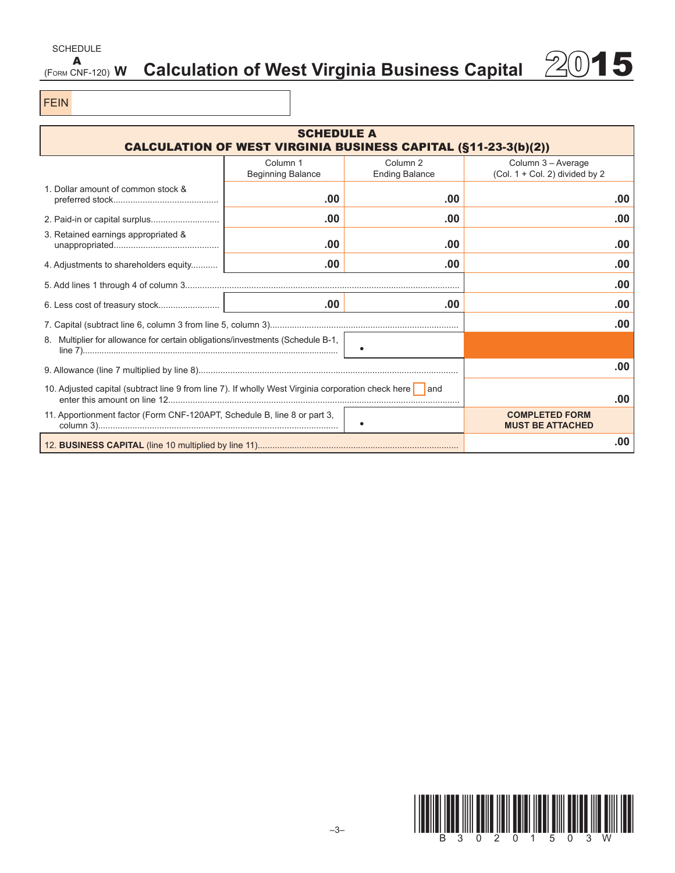### SCHEDULE  $A$ <br>(Form CNF-120)  $W$ Calculation of West Virginia Business Capital 2015

FEIN

| <b>SCHEDULE A</b><br><b>CALCULATION OF WEST VIRGINIA BUSINESS CAPITAL (§11-23-3(b)(2))</b>               |                                      |                                              |                                                        |     |  |  |
|----------------------------------------------------------------------------------------------------------|--------------------------------------|----------------------------------------------|--------------------------------------------------------|-----|--|--|
|                                                                                                          | Column 1<br><b>Beginning Balance</b> | Column <sub>2</sub><br><b>Ending Balance</b> | Column 3 - Average<br>(Col. $1 +$ Col. 2) divided by 2 |     |  |  |
| 1. Dollar amount of common stock &                                                                       | .00                                  | .00                                          |                                                        | .00 |  |  |
|                                                                                                          | .00                                  | .00                                          |                                                        | .00 |  |  |
| 3. Retained earnings appropriated &                                                                      | .00                                  | .00                                          |                                                        | .00 |  |  |
| 4. Adjustments to shareholders equity                                                                    | .00                                  | .00                                          |                                                        | .00 |  |  |
|                                                                                                          |                                      | .00                                          |                                                        |     |  |  |
|                                                                                                          | .00                                  | .00                                          |                                                        | .00 |  |  |
|                                                                                                          |                                      |                                              |                                                        | .00 |  |  |
| 8. Multiplier for allowance for certain obligations/investments (Schedule B-1,                           |                                      |                                              |                                                        |     |  |  |
|                                                                                                          |                                      |                                              | .00                                                    |     |  |  |
| 10. Adjusted capital (subtract line 9 from line 7). If wholly West Virginia corporation check here   and |                                      | .00                                          |                                                        |     |  |  |
| 11. Apportionment factor (Form CNF-120APT, Schedule B, line 8 or part 3,                                 |                                      |                                              | <b>COMPLETED FORM</b><br><b>MUST BE ATTACHED</b>       |     |  |  |
|                                                                                                          |                                      |                                              |                                                        | .00 |  |  |

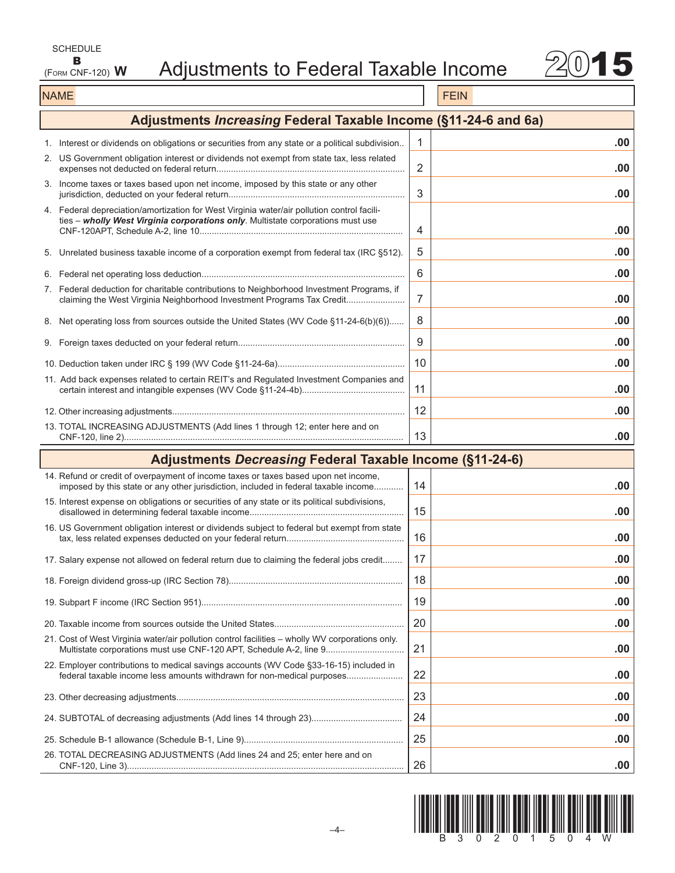| SCHEDULE         |  |
|------------------|--|
| В                |  |
| (FORM CNF-120) W |  |



### NAME FEIN AND RESERVE THE SERVE THAT IS A REPORT OF THE SERVE THAT IS A REPORT OF THE SERVE THAT IS A REPORT OF THE SERVE THAT IS A REPORT OF THE SERVE THAT IS A REPORT OF THE SERVE THAT IS A REPORT OF THE SERVE THAT IS A

| Adjustments Increasing Federal Taxable Income (§11-24-6 and 6a)                                                                                                               |    |     |
|-------------------------------------------------------------------------------------------------------------------------------------------------------------------------------|----|-----|
| 1. Interest or dividends on obligations or securities from any state or a political subdivision                                                                               | 1  | .00 |
| 2. US Government obligation interest or dividends not exempt from state tax, less related                                                                                     | 2  | .00 |
| 3. Income taxes or taxes based upon net income, imposed by this state or any other                                                                                            | 3  | .00 |
| 4. Federal depreciation/amortization for West Virginia water/air pollution control facili-<br>ties - wholly West Virginia corporations only. Multistate corporations must use | 4  | .00 |
| 5. Unrelated business taxable income of a corporation exempt from federal tax (IRC §512).                                                                                     | 5  | .00 |
|                                                                                                                                                                               | 6  | .00 |
| 7. Federal deduction for charitable contributions to Neighborhood Investment Programs, if<br>claiming the West Virginia Neighborhood Investment Programs Tax Credit           | 7  | .00 |
| 8. Net operating loss from sources outside the United States (WV Code §11-24-6(b)(6)                                                                                          | 8  | .00 |
|                                                                                                                                                                               | 9  | .00 |
|                                                                                                                                                                               | 10 | .00 |
| 11. Add back expenses related to certain REIT's and Regulated Investment Companies and                                                                                        | 11 | .00 |
|                                                                                                                                                                               | 12 | .00 |
| 13. TOTAL INCREASING ADJUSTMENTS (Add lines 1 through 12; enter here and on                                                                                                   | 13 | .00 |
|                                                                                                                                                                               |    |     |
| <b>Adjustments Decreasing Federal Taxable Income (§11-24-6)</b>                                                                                                               |    |     |
| 14. Refund or credit of overpayment of income taxes or taxes based upon net income,<br>imposed by this state or any other jurisdiction, included in federal taxable income    | 14 | .00 |
| 15. Interest expense on obligations or securities of any state or its political subdivisions,                                                                                 | 15 | .00 |
| 16. US Government obligation interest or dividends subject to federal but exempt from state                                                                                   | 16 | .00 |
| 17. Salary expense not allowed on federal return due to claiming the federal jobs credit                                                                                      | 17 | .00 |
|                                                                                                                                                                               | 18 | .00 |
|                                                                                                                                                                               | 19 | .00 |
|                                                                                                                                                                               | 20 | .00 |
| 21. Cost of West Virginia water/air pollution control facilities – wholly WV corporations only.<br>Multistate corporations must use CNF-120 APT, Schedule A-2, line 9         | 21 | .00 |
| 22. Employer contributions to medical savings accounts (WV Code §33-16-15) included in<br>federal taxable income less amounts withdrawn for non-medical purposes              | 22 | .00 |
|                                                                                                                                                                               | 23 | .00 |
|                                                                                                                                                                               | 24 | .00 |
| 26. TOTAL DECREASING ADJUSTMENTS (Add lines 24 and 25; enter here and on                                                                                                      | 25 | .00 |

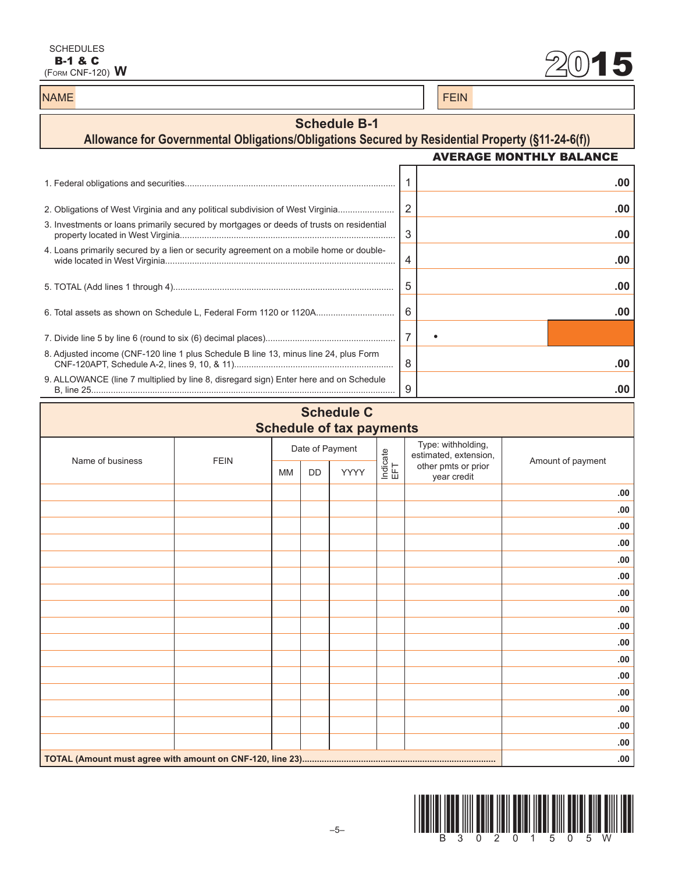**B-1 & C**<br>
(Form CNF-120) **W** 2015 2016

### NAME FEIN AND RESERVE THE SERVE THAT IS A REPORT OF THE SERVE THAT IS A REPORT OF THE SERVE THAT IS A REPORT OF THE SERVE THAT IS A REPORT OF THE SERVE THAT IS A REPORT OF THE SERVE THAT IS A REPORT OF THE SERVE THAT IS A

### **Schedule B-1**

### **Allowance for Governmental Obligations/Obligations Secured by Residential Property (§11-24-6(f))** AVERAGE MONTHLY BALANCE 1. Federal obligations and securities...................................................................................... 1 **.00** 2. Obligations of West Virginia and any political subdivision of West Virginia....................... 2 **.00** 3. Investments or loans primarily secured by mortgages or deeds of trusts on residential property located in West Virginia........................................................................................ 3 **.00** 4. Loans primarily secured by a lien or security agreement on a mobile home or doublewide located in West Virginia.............................................................................................. 4 **.00** 5. TOTAL (Add lines 1 through 4).......................................................................................... 5 **.00** 6. Total assets as shown on Schedule L, Federal Form 1120 or 1120A................................ 6 **.00** 7. Divide line 5 by line 6 (round to six (6) decimal places)..................................................... 7 • 8. Adjusted income (CNF-120 line 1 plus Schedule B line 13, minus line 24, plus Form CNF-120APT, Schedule A-2, lines 9, 10, & 11)................................................................. 8 **.00** 9. ALLOWANCE (line 7 multiplied by line 8, disregard sign) Enter here and on Schedule B, line 25............................................................................................................................ 9 **.00**

### **Schedule C Schedule of tax payments**

| .<br>$\mathbf{r}$ |             |           |    |                 |                 |                                             |                   |
|-------------------|-------------|-----------|----|-----------------|-----------------|---------------------------------------------|-------------------|
| Name of business  | <b>FEIN</b> |           |    | Date of Payment |                 | Type: withholding,<br>estimated, extension, | Amount of payment |
|                   |             | <b>MM</b> | DD | YYYY            | Indicate<br>EFT | other pmts or prior<br>year credit          |                   |
|                   |             |           |    |                 |                 |                                             | .00               |
|                   |             |           |    |                 |                 |                                             | .00.              |
|                   |             |           |    |                 |                 |                                             | .00.              |
|                   |             |           |    |                 |                 |                                             | .00               |
|                   |             |           |    |                 |                 |                                             | .00               |
|                   |             |           |    |                 |                 |                                             | .00.              |
|                   |             |           |    |                 |                 |                                             | .00.              |
|                   |             |           |    |                 |                 |                                             | .00               |
|                   |             |           |    |                 |                 |                                             | .00               |
|                   |             |           |    |                 |                 |                                             | .00               |
|                   |             |           |    |                 |                 |                                             | .00.              |
|                   |             |           |    |                 |                 |                                             | .00.              |
|                   |             |           |    |                 |                 |                                             | .00               |
|                   |             |           |    |                 |                 |                                             | .00.              |
|                   |             |           |    |                 |                 |                                             | .00.              |
|                   |             |           |    |                 |                 |                                             | .00               |
|                   | .00.        |           |    |                 |                 |                                             |                   |

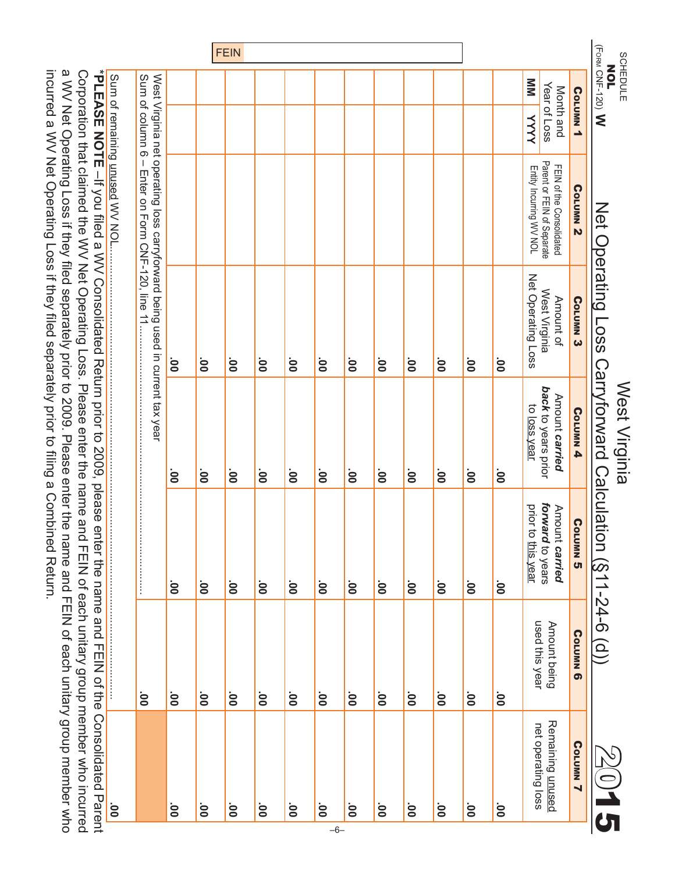| *PLEASE NOTE -If you filed a VV Consolidated Return prior to 2009, please enter the name and FEIN of the Consolidated Parent<br>Corporation that claimed the WV Net Operating Loss. Please enter the name and FEIN of each unitary group member who incurred<br>name and FEIN of each unitary group member who |                                |                                                          |                                                       | incurred a WV Net Operating Loss if they filled separately prior to filling a Combined Return.<br>a WV Net Operating Loss if they filed separately prior to 2009. Please enter the |                                                                                  |                                                          |             |
|----------------------------------------------------------------------------------------------------------------------------------------------------------------------------------------------------------------------------------------------------------------------------------------------------------------|--------------------------------|----------------------------------------------------------|-------------------------------------------------------|------------------------------------------------------------------------------------------------------------------------------------------------------------------------------------|----------------------------------------------------------------------------------|----------------------------------------------------------|-------------|
| $00^{\circ}$                                                                                                                                                                                                                                                                                                   |                                |                                                          |                                                       |                                                                                                                                                                                    | Sum of remaining unused WV NOL.                                                  |                                                          |             |
|                                                                                                                                                                                                                                                                                                                | $\overline{0}$                 |                                                          |                                                       | West Virginia net operating loss carryforward being used in current tax year                                                                                                       | $\mathsf I$                                                                      | Sum of column 6                                          |             |
| $\overline{0}0$                                                                                                                                                                                                                                                                                                | $\overline{0}0$                | $\overline{8}$                                           | ġ                                                     | $\overline{0}$                                                                                                                                                                     |                                                                                  |                                                          |             |
| $\overline{8}$                                                                                                                                                                                                                                                                                                 | $\overline{0}$                 | $\overline{8}$                                           | .<br>8                                                | $\overline{0}$                                                                                                                                                                     |                                                                                  |                                                          |             |
| $\overline{8}$                                                                                                                                                                                                                                                                                                 | $\overline{8}$                 | $\overline{8}$                                           | ġ                                                     | $\overline{0}$                                                                                                                                                                     |                                                                                  |                                                          | <b>FEIN</b> |
| $\mathbf{S}$                                                                                                                                                                                                                                                                                                   | $\overline{0}$                 | $\mathbf{S}$                                             | .<br>8                                                | .<br>ОО                                                                                                                                                                            |                                                                                  |                                                          |             |
| OO'                                                                                                                                                                                                                                                                                                            | $\overline{0}$                 | $\overline{0}$                                           | .<br>S                                                | ÖO.                                                                                                                                                                                |                                                                                  |                                                          |             |
| $\overline{0}$<br>$-6-$                                                                                                                                                                                                                                                                                        | ÖÖ                             | $\overline{8}$                                           | .<br>S                                                | ÖÖ                                                                                                                                                                                 |                                                                                  |                                                          |             |
| $\mathbf{S}$                                                                                                                                                                                                                                                                                                   | $\mathbf{S}$                   | $\overline{00}$                                          | ġ                                                     | $\overline{0}$                                                                                                                                                                     |                                                                                  |                                                          |             |
| Ö0                                                                                                                                                                                                                                                                                                             | ÖÖ                             | .<br>8                                                   | ġ                                                     | ÖO                                                                                                                                                                                 |                                                                                  |                                                          |             |
| ÖÖ                                                                                                                                                                                                                                                                                                             | ÖÖ                             | $\overline{0}$                                           | .<br>8                                                | ÖO                                                                                                                                                                                 |                                                                                  |                                                          |             |
| $\mathbf{S}$                                                                                                                                                                                                                                                                                                   | $\mathbf{S}$                   | $\overline{0}$                                           | .oo                                                   | ÖO.                                                                                                                                                                                |                                                                                  |                                                          |             |
| $\mathbf{S}$                                                                                                                                                                                                                                                                                                   | $\overline{0}$                 | $\overline{0}$                                           | ġ                                                     | $\overline{0}$                                                                                                                                                                     |                                                                                  |                                                          |             |
| $\overline{0}$                                                                                                                                                                                                                                                                                                 | $\overline{0}$                 | $\overline{0}$                                           | ġ                                                     | $\overline{0}0$                                                                                                                                                                    |                                                                                  |                                                          |             |
| Remaining <u>unused</u><br>net operating loss                                                                                                                                                                                                                                                                  | used this year<br>Amount being | forward to years<br>prior to this year<br>Amount carried | back to years prior<br>Amount carried<br>to loss year | Net Operating Loss<br>West Virginia<br>Amount of                                                                                                                                   | FEIN of the Consolidated<br>Parent or FEIN of Separate<br>Erity Incurring WV NOL | $\mathbf{N}$<br>Year of Loss<br>Month and<br><b>YYYY</b> |             |
| Corumn <sub>7</sub>                                                                                                                                                                                                                                                                                            | <b>Corumn 6</b>                | Corumn <sub>5</sub>                                      | Corumn <sub>4</sub>                                   | Corumn <sub>3</sub>                                                                                                                                                                | Corumn <sub>2</sub>                                                              | Corumn <sub>1</sub>                                      |             |
|                                                                                                                                                                                                                                                                                                                | $\widehat{\Omega}$             | $-54-6$                                                  | West Virginia                                         | Net Operating Loss Carryforward Calculation                                                                                                                                        |                                                                                  | (Form CNF-120) W<br>SCHEDULE<br>Z<br>O<br>L              |             |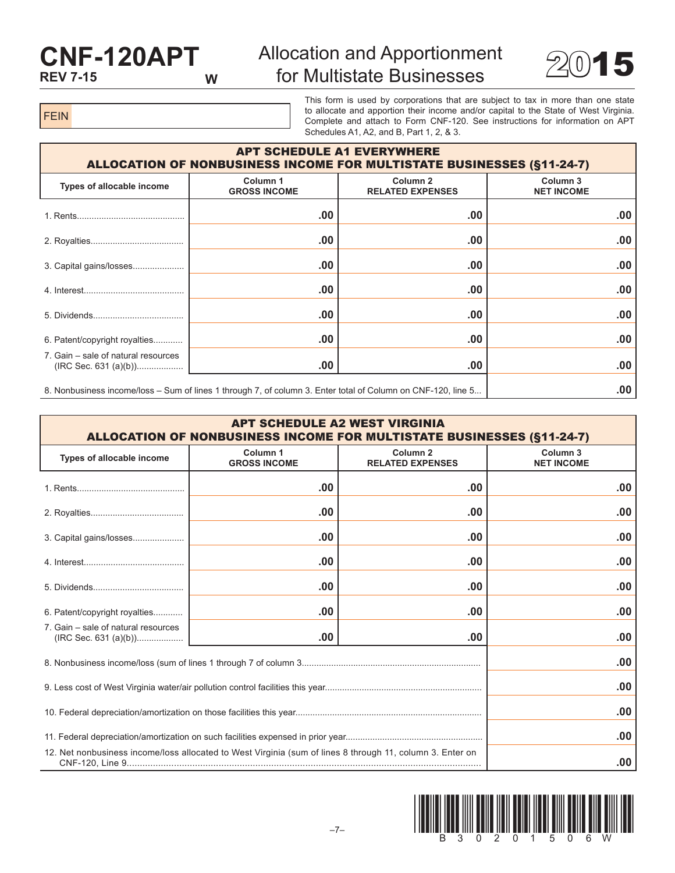## **CNF-120APT REV 7-15 W**

# Allocation and Apportionment for Multistate Businesses  $2015$



FEIN

This form is used by corporations that are subject to tax in more than one state to allocate and apportion their income and/or capital to the State of West Virginia. Complete and attach to Form CNF-120. See instructions for information on APT Schedules A1, A2, and B, Part 1, 2, & 3.

| <b>APT SCHEDULE A1 EVERYWHERE</b><br><b>ALLOCATION OF NONBUSINESS INCOME FOR MULTISTATE BUSINESSES (§11-24-7)</b> |                                 |                                                |                                          |  |  |
|-------------------------------------------------------------------------------------------------------------------|---------------------------------|------------------------------------------------|------------------------------------------|--|--|
| Types of allocable income                                                                                         | Column 1<br><b>GROSS INCOME</b> | Column <sub>2</sub><br><b>RELATED EXPENSES</b> | Column <sub>3</sub><br><b>NET INCOME</b> |  |  |
|                                                                                                                   | .00                             | .00                                            | .00                                      |  |  |
|                                                                                                                   | .00                             | .00                                            | .00                                      |  |  |
|                                                                                                                   | .00                             | .00                                            | .00                                      |  |  |
|                                                                                                                   | .00                             | .00                                            | .00                                      |  |  |
|                                                                                                                   | .00                             | .00                                            | .00                                      |  |  |
| 6. Patent/copyright royalties                                                                                     | .00                             | .00                                            | .00                                      |  |  |
| 7. Gain – sale of natural resources                                                                               | .00                             | .00                                            | .00                                      |  |  |
| 8. Nonbusiness income/loss – Sum of lines 1 through 7, of column 3. Enter total of Column on CNF-120, line 5      | .00                             |                                                |                                          |  |  |

| <b>APT SCHEDULE A2 WEST VIRGINIA</b><br><b>ALLOCATION OF NONBUSINESS INCOME FOR MULTISTATE BUSINESSES (§11-24-7)</b> |                                            |                                                |                               |  |  |
|----------------------------------------------------------------------------------------------------------------------|--------------------------------------------|------------------------------------------------|-------------------------------|--|--|
| Types of allocable income                                                                                            | Column <sub>1</sub><br><b>GROSS INCOME</b> | Column <sub>2</sub><br><b>RELATED EXPENSES</b> | Column 3<br><b>NET INCOME</b> |  |  |
|                                                                                                                      | .00                                        |                                                |                               |  |  |
|                                                                                                                      | .00                                        |                                                |                               |  |  |
| 3. Capital gains/losses                                                                                              | .00                                        |                                                |                               |  |  |
|                                                                                                                      | .00                                        |                                                |                               |  |  |
|                                                                                                                      | .00                                        |                                                |                               |  |  |
| 6. Patent/copyright royalties                                                                                        | .00                                        |                                                |                               |  |  |
| 7. Gain – sale of natural resources                                                                                  | .00                                        | .00                                            | .00                           |  |  |
|                                                                                                                      | .00                                        |                                                |                               |  |  |
|                                                                                                                      | .00                                        |                                                |                               |  |  |
|                                                                                                                      | .00                                        |                                                |                               |  |  |
|                                                                                                                      |                                            | .00                                            |                               |  |  |
| 12. Net nonbusiness income/loss allocated to West Virginia (sum of lines 8 through 11, column 3. Enter on            | .00                                        |                                                |                               |  |  |

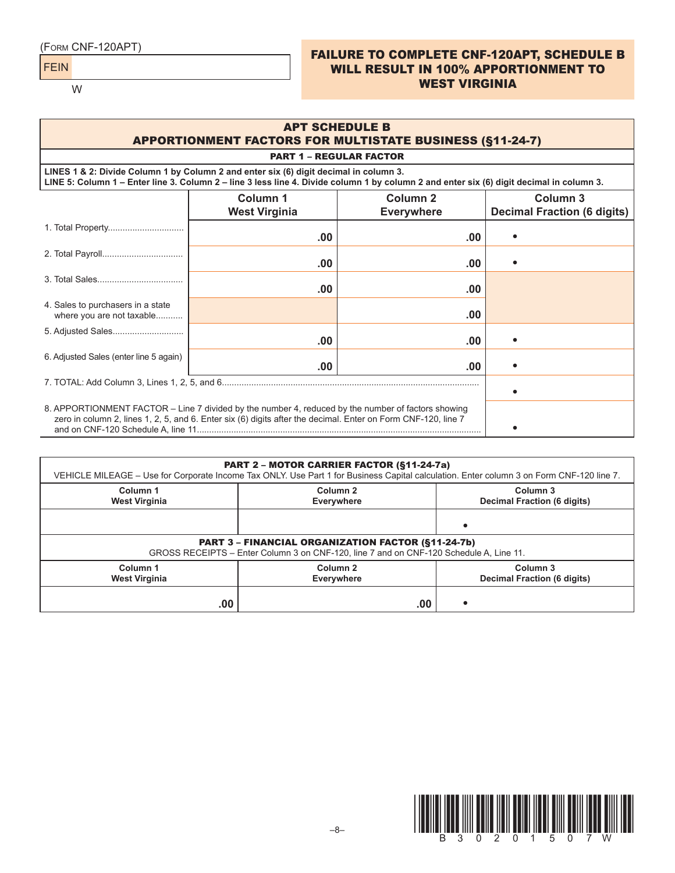FEIN

W

### (Form CNF-120APT) FAILURE TO COMPLETE CNF-120APT, SCHEDULE B WILL RESULT IN 100% APPORTIONMENT TO WEST VIRGINIA

| <b>APT SCHEDULE B</b><br><b>APPORTIONMENT FACTORS FOR MULTISTATE BUSINESS (§11-24-7)</b>                                                                                                                                          |                                  |                               |                                                |  |  |  |
|-----------------------------------------------------------------------------------------------------------------------------------------------------------------------------------------------------------------------------------|----------------------------------|-------------------------------|------------------------------------------------|--|--|--|
| <b>PART 1 - REGULAR FACTOR</b>                                                                                                                                                                                                    |                                  |                               |                                                |  |  |  |
| LINES 1 & 2: Divide Column 1 by Column 2 and enter six (6) digit decimal in column 3.<br>LINE 5: Column 1 – Enter line 3. Column 2 – line 3 less line 4. Divide column 1 by column 2 and enter six (6) digit decimal in column 3. |                                  |                               |                                                |  |  |  |
|                                                                                                                                                                                                                                   | Column 1<br><b>West Virginia</b> | Column 2<br><b>Everywhere</b> | Column 3<br><b>Decimal Fraction (6 digits)</b> |  |  |  |
|                                                                                                                                                                                                                                   | .00.                             | .00                           |                                                |  |  |  |
|                                                                                                                                                                                                                                   | .00                              | .00                           |                                                |  |  |  |
|                                                                                                                                                                                                                                   | .00                              | .00                           |                                                |  |  |  |
| 4. Sales to purchasers in a state<br>where you are not taxable                                                                                                                                                                    |                                  | .00                           |                                                |  |  |  |
|                                                                                                                                                                                                                                   | .00.                             | .00.                          |                                                |  |  |  |
| 6. Adjusted Sales (enter line 5 again)                                                                                                                                                                                            | .00                              | .00                           |                                                |  |  |  |
|                                                                                                                                                                                                                                   |                                  |                               |                                                |  |  |  |
| 8. APPORTIONMENT FACTOR – Line 7 divided by the number 4, reduced by the number of factors showing<br>zero in column 2, lines 1, 2, 5, and 6. Enter six (6) digits after the decimal. Enter on Form CNF-120, line 7               |                                  |                               |                                                |  |  |  |

|                                                                                                                                                     | <b>PART 2 - MOTOR CARRIER FACTOR (§11-24-7a)</b><br>VEHICLE MILEAGE - Use for Corporate Income Tax ONLY. Use Part 1 for Business Capital calculation. Enter column 3 on Form CNF-120 line 7. |                                                |  |  |  |  |
|-----------------------------------------------------------------------------------------------------------------------------------------------------|----------------------------------------------------------------------------------------------------------------------------------------------------------------------------------------------|------------------------------------------------|--|--|--|--|
| Column 1<br><b>West Virginia</b>                                                                                                                    | Column <sub>2</sub><br>Everywhere                                                                                                                                                            | Column 3<br><b>Decimal Fraction (6 digits)</b> |  |  |  |  |
|                                                                                                                                                     |                                                                                                                                                                                              |                                                |  |  |  |  |
| <b>PART 3 - FINANCIAL ORGANIZATION FACTOR (§11-24-7b)</b><br>GROSS RECEIPTS - Enter Column 3 on CNF-120, line 7 and on CNF-120 Schedule A, Line 11. |                                                                                                                                                                                              |                                                |  |  |  |  |
| Column 1<br><b>West Virginia</b>                                                                                                                    | Column <sub>2</sub><br>Everywhere                                                                                                                                                            | Column 3<br><b>Decimal Fraction (6 digits)</b> |  |  |  |  |
| .00                                                                                                                                                 | .00                                                                                                                                                                                          |                                                |  |  |  |  |

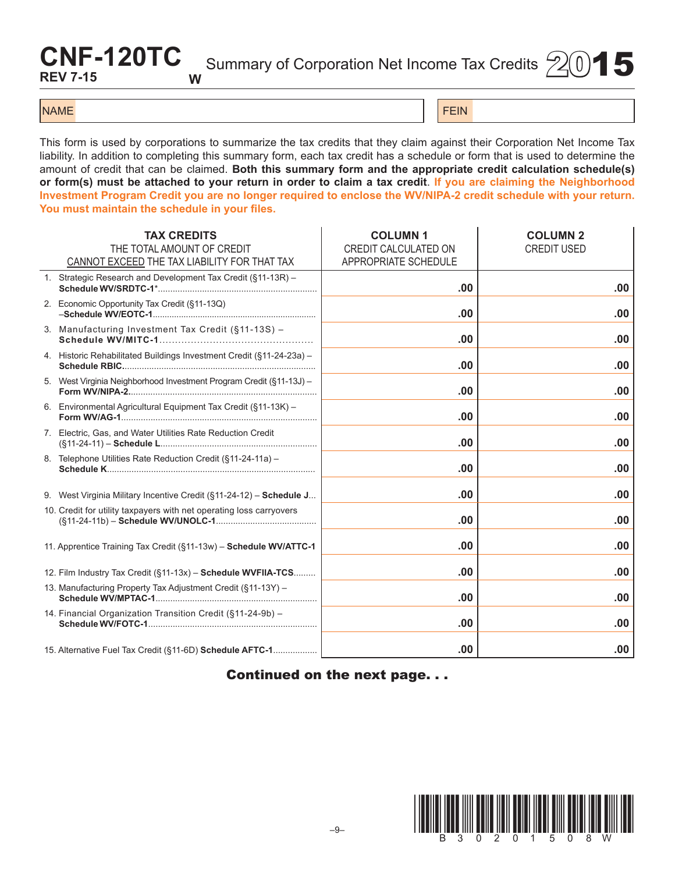# **CNF-120TC REV 7-15 W**

Summary of Corporation Net Income Tax Credits  $(2)(0)$  5

### NAME FEIN AND RESERVE THE SERVE THAT IS A REPORT OF THE SERVE THAT IS A REPORT OF THE SERVE THAT IS A REPORT OF THE SERVE THAT IS A REPORT OF THE SERVE THAT IS A REPORT OF THE SERVE THAT IS A REPORT OF THE SERVE THAT IS A

This form is used by corporations to summarize the tax credits that they claim against their Corporation Net Income Tax liability. In addition to completing this summary form, each tax credit has a schedule or form that is used to determine the amount of credit that can be claimed. **Both this summary form and the appropriate credit calculation schedule(s) or form(s) must be attached to your return in order to claim a tax credit**. **If you are claiming the Neighborhood Investment Program Credit you are no longer required to enclose the WV/NIPA-2 credit schedule with your return. You must maintain the schedule in your files.**

| <b>TAX CREDITS</b><br>THE TOTAL AMOUNT OF CREDIT<br>CANNOT EXCEED THE TAX LIABILITY FOR THAT TAX | <b>COLUMN1</b><br>CREDIT CALCULATED ON<br>APPROPRIATE SCHEDULE | <b>COLUMN 2</b><br><b>CREDIT USED</b> |
|--------------------------------------------------------------------------------------------------|----------------------------------------------------------------|---------------------------------------|
| 1. Strategic Research and Development Tax Credit (§11-13R) -                                     | .00.                                                           | .00                                   |
| 2. Economic Opportunity Tax Credit (§11-13Q)                                                     | .00                                                            | .00                                   |
| 3. Manufacturing Investment Tax Credit (§11-13S) -                                               | .00                                                            | .00                                   |
| 4. Historic Rehabilitated Buildings Investment Credit (§11-24-23a) -                             | .00                                                            | .00                                   |
| 5. West Virginia Neighborhood Investment Program Credit (§11-13J) -                              | .00                                                            | .00                                   |
| 6. Environmental Agricultural Equipment Tax Credit (§11-13K) -                                   | .00                                                            | .00                                   |
| 7. Electric, Gas, and Water Utilities Rate Reduction Credit                                      | .00                                                            | .00                                   |
| 8. Telephone Utilities Rate Reduction Credit (§11-24-11a) -                                      | .00                                                            | .00                                   |
| 9. West Virginia Military Incentive Credit (§11-24-12) - Schedule J                              | .00                                                            | .00                                   |
| 10. Credit for utility taxpayers with net operating loss carryovers                              | .00                                                            | .00                                   |
| 11. Apprentice Training Tax Credit (§11-13w) - Schedule WV/ATTC-1                                | .00                                                            | .00                                   |
| 12. Film Industry Tax Credit (§11-13x) - Schedule WVFIIA-TCS                                     | .00                                                            | .00                                   |
| 13. Manufacturing Property Tax Adjustment Credit (§11-13Y) -                                     | .00                                                            | .00                                   |
| 14. Financial Organization Transition Credit (§11-24-9b) -                                       | .00                                                            | .00                                   |
| 15. Alternative Fuel Tax Credit (§11-6D) Schedule AFTC-1                                         | .00                                                            | .00                                   |

Continued on the next page. . .

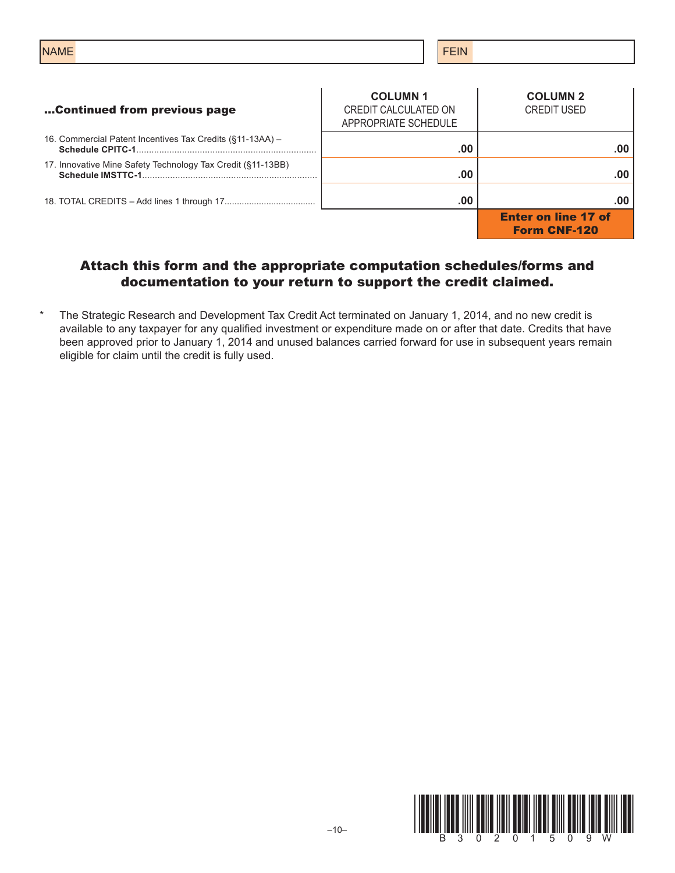| <b>NAME</b>                  | <b>FEIN</b>                                                    |                                       |
|------------------------------|----------------------------------------------------------------|---------------------------------------|
| Continued from previous page | <b>COLUMN1</b><br>CREDIT CALCULATED ON<br>ADDOODDIATE COUEDULE | <b>COLUMN 2</b><br><b>CREDIT USED</b> |

- 16. Commercial Patent Incentives Tax Credits (§11-13AA) **Schedule CPITC-1**....................................................................... **.00 .00**
- 17. Innovative Mine Safety Technology Tax Credit (§11-13BB) **Schedule IMSTTC-1**..................................................................... **.00 .00**

18. TOTAL CREDITS – Add lines 1 through 17..................................... **.00 .00**

|                      | <b>COLUMN 1</b><br>CREDIT CALCULATED ON<br>APPROPRIATE SCHEDULE | <b>COLUMN 2</b><br><b>CREDIT USED</b>             |
|----------------------|-----------------------------------------------------------------|---------------------------------------------------|
| . .                  | .00                                                             | .00                                               |
| $\ddot{\phantom{0}}$ | .00                                                             | .00                                               |
|                      | .00                                                             | .00                                               |
|                      |                                                                 | <b>Enter on line 17 of</b><br><b>Form CNF-120</b> |

### Attach this form and the appropriate computation schedules/forms and documentation to your return to support the credit claimed.

\* The Strategic Research and Development Tax Credit Act terminated on January 1, 2014, and no new credit is available to any taxpayer for any qualified investment or expenditure made on or after that date. Credits that have been approved prior to January 1, 2014 and unused balances carried forward for use in subsequent years remain eligible for claim until the credit is fully used.

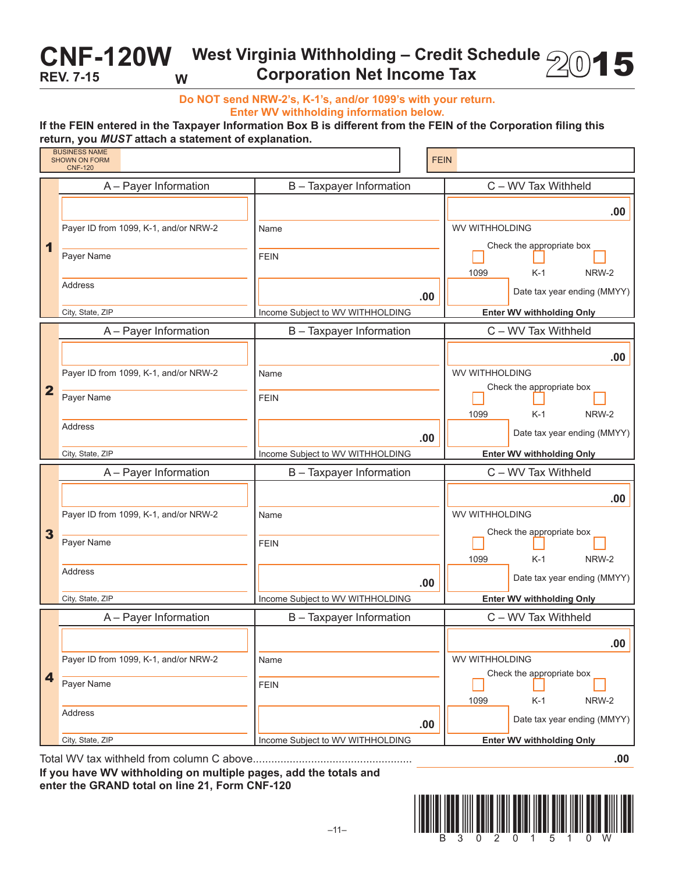# CNF-120W West Virginia Withholding – Credit Schedule 2015<br>REV. 7-15 W Corporation Net Income Tax **REV. 7-15 W**

**Do NOT send NRW-2's, K-1's, and/or 1099's with your return. Enter WV withholding information below.**

### **If the FEIN entered in the Taxpayer Information Box B is different from the FEIN of the Corporation filing this return, you** *MUST* **attach a statement of explanation.**

|                         | . .<br><b>BUSINESS NAME</b><br><b>SHOWN ON FORM</b><br><b>CNF-120</b> | <b>FEIN</b>                      |                                  |
|-------------------------|-----------------------------------------------------------------------|----------------------------------|----------------------------------|
|                         | A - Payer Information                                                 | B - Taxpayer Information         | C - WV Tax Withheld              |
|                         |                                                                       |                                  | .00                              |
|                         | Payer ID from 1099, K-1, and/or NRW-2                                 | Name                             | <b>WV WITHHOLDING</b>            |
| 1                       | Payer Name                                                            | <b>FEIN</b>                      | Check the appropriate box        |
|                         |                                                                       |                                  | 1099<br>$K-1$<br>NRW-2           |
|                         | Address                                                               | .00                              | Date tax year ending (MMYY)      |
|                         | City, State, ZIP                                                      | Income Subject to WV WITHHOLDING | <b>Enter WV withholding Only</b> |
|                         | A - Payer Information                                                 | B - Taxpayer Information         | C - WV Tax Withheld              |
|                         |                                                                       |                                  | .00                              |
|                         | Payer ID from 1099, K-1, and/or NRW-2                                 | Name                             | WV WITHHOLDING                   |
| $\overline{\mathbf{2}}$ | Payer Name                                                            | <b>FEIN</b>                      | Check the appropriate box        |
|                         |                                                                       |                                  | 1099<br>$K-1$<br>NRW-2           |
|                         | <b>Address</b>                                                        | .00                              | Date tax year ending (MMYY)      |
|                         |                                                                       |                                  |                                  |
|                         | City, State, ZIP                                                      | Income Subject to WV WITHHOLDING | <b>Enter WV withholding Only</b> |
|                         | A - Payer Information                                                 | B - Taxpayer Information         | C - WV Tax Withheld              |
|                         |                                                                       |                                  | .00                              |
|                         | Payer ID from 1099, K-1, and/or NRW-2                                 | Name                             | WV WITHHOLDING                   |
| 3                       |                                                                       |                                  | Check the appropriate box        |
|                         | Payer Name                                                            | <b>FEIN</b>                      | 1099<br>$K-1$<br>NRW-2           |
|                         | Address                                                               | .00                              | Date tax year ending (MMYY)      |
|                         | City, State, ZIP                                                      | Income Subject to WV WITHHOLDING | <b>Enter WV withholding Only</b> |
|                         | A - Payer Information                                                 | B - Taxpayer Information         | C - WV Tax Withheld              |
|                         |                                                                       |                                  | .00                              |
|                         | Payer ID from 1099, K-1, and/or NRW-2                                 | Name                             | WV WITHHOLDING                   |
| 4                       | Payer Name                                                            | <b>FEIN</b>                      | Check the appropriate box        |
|                         |                                                                       |                                  | $K-1$<br>1099<br>NRW-2           |
|                         | Address                                                               | .00                              | Date tax year ending (MMYY)      |

Total WV tax withheld from column C above.................................................... **.00**

**If you have WV withholding on multiple pages, add the totals and enter the GRAND total on line 21, Form CNF-120**

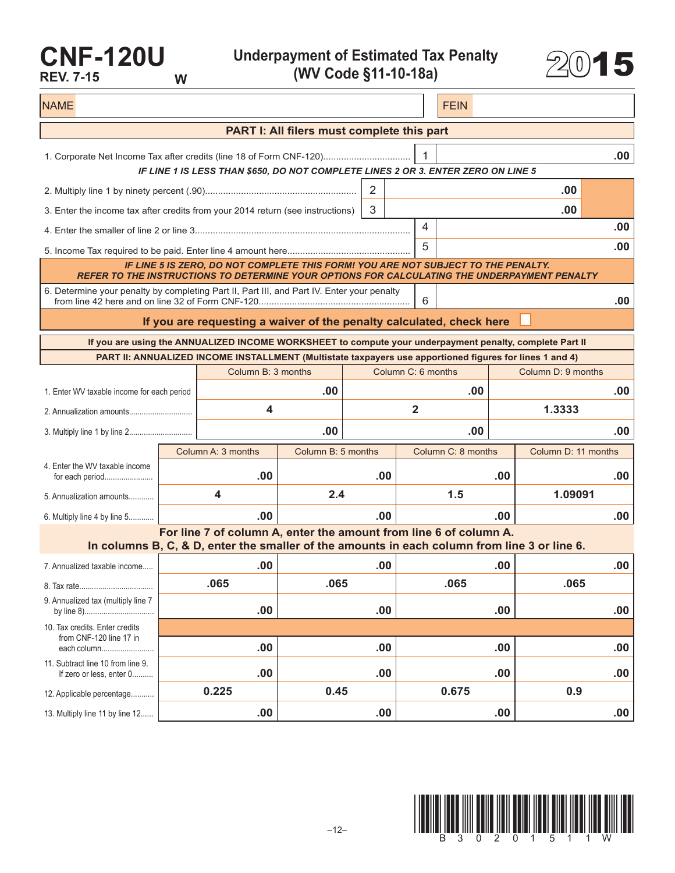# **CNF-120U REV. 7-15 W**

**Underpayment of Estimated Tax Penalty (WV Code §11-10-18a)** 2015



| <b>NAME</b>                                                                                                                                                     |  |                                                                                                                                                                   |                                            |     |                         | <b>FEIN</b>        |     |                     |     |
|-----------------------------------------------------------------------------------------------------------------------------------------------------------------|--|-------------------------------------------------------------------------------------------------------------------------------------------------------------------|--------------------------------------------|-----|-------------------------|--------------------|-----|---------------------|-----|
|                                                                                                                                                                 |  |                                                                                                                                                                   | PART I: All filers must complete this part |     |                         |                    |     |                     |     |
| .00.<br>1. Corporate Net Income Tax after credits (line 18 of Form CNF-120)<br>IF LINE 1 IS LESS THAN \$650, DO NOT COMPLETE LINES 2 OR 3. ENTER ZERO ON LINE 5 |  |                                                                                                                                                                   |                                            |     |                         |                    |     |                     |     |
|                                                                                                                                                                 |  |                                                                                                                                                                   |                                            | 2   |                         |                    |     | .00                 |     |
| 3<br>.00<br>3. Enter the income tax after credits from your 2014 return (see instructions)                                                                      |  |                                                                                                                                                                   |                                            |     |                         |                    |     |                     |     |
| 4                                                                                                                                                               |  |                                                                                                                                                                   |                                            |     |                         | .00                |     |                     |     |
|                                                                                                                                                                 |  |                                                                                                                                                                   |                                            |     | 5                       |                    |     |                     | .00 |
| REFER TO THE INSTRUCTIONS TO DETERMINE YOUR OPTIONS FOR CALCULATING THE UNDERPAYMENT PENALTY                                                                    |  | IF LINE 5 IS ZERO, DO NOT COMPLETE THIS FORM! YOU ARE NOT SUBJECT TO THE PENALTY.                                                                                 |                                            |     |                         |                    |     |                     |     |
| 6. Determine your penalty by completing Part II, Part III, and Part IV. Enter your penalty                                                                      |  |                                                                                                                                                                   |                                            |     | 6                       |                    |     |                     | .00 |
|                                                                                                                                                                 |  | If you are requesting a waiver of the penalty calculated, check here                                                                                              |                                            |     |                         |                    |     |                     |     |
|                                                                                                                                                                 |  | If you are using the ANNUALIZED INCOME WORKSHEET to compute your underpayment penalty, complete Part II                                                           |                                            |     |                         |                    |     |                     |     |
|                                                                                                                                                                 |  | PART II: ANNUALIZED INCOME INSTALLMENT (Multistate taxpayers use apportioned figures for lines 1 and 4)                                                           |                                            |     |                         |                    |     |                     |     |
|                                                                                                                                                                 |  | Column B: 3 months                                                                                                                                                |                                            |     | Column C: 6 months      |                    |     | Column D: 9 months  |     |
| 1. Enter WV taxable income for each period                                                                                                                      |  |                                                                                                                                                                   | .00                                        |     |                         | .00                |     |                     | .00 |
|                                                                                                                                                                 |  | 4                                                                                                                                                                 |                                            |     | $\overline{\mathbf{2}}$ |                    |     | 1.3333              |     |
|                                                                                                                                                                 |  |                                                                                                                                                                   | .00                                        |     |                         | .00                |     |                     | .00 |
|                                                                                                                                                                 |  | Column A: 3 months                                                                                                                                                | Column B: 5 months                         |     |                         | Column C: 8 months |     | Column D: 11 months |     |
| 4. Enter the WV taxable income<br>for each period                                                                                                               |  | .00                                                                                                                                                               |                                            | .00 |                         |                    | .00 |                     | .00 |
| 5. Annualization amounts                                                                                                                                        |  | 4                                                                                                                                                                 | 2.4                                        |     |                         | 1.5                |     | 1.09091             |     |
| 6. Multiply line 4 by line 5                                                                                                                                    |  | .00                                                                                                                                                               |                                            | .00 |                         |                    | .00 |                     | .00 |
|                                                                                                                                                                 |  | For line 7 of column A, enter the amount from line 6 of column A.<br>In columns B, C, & D, enter the smaller of the amounts in each column from line 3 or line 6. |                                            |     |                         |                    |     |                     |     |
| 7. Annualized taxable income                                                                                                                                    |  | .00                                                                                                                                                               |                                            | .00 |                         |                    | .00 |                     | .00 |
|                                                                                                                                                                 |  | .065                                                                                                                                                              | .065                                       |     |                         | .065               |     | .065                |     |
| 9. Annualized tax (multiply line 7                                                                                                                              |  | .00                                                                                                                                                               |                                            | .00 |                         |                    | .00 |                     | .00 |
| 10. Tax credits. Enter credits<br>from CNF-120 line 17 in                                                                                                       |  |                                                                                                                                                                   |                                            |     |                         |                    |     |                     |     |
| each column                                                                                                                                                     |  | .00                                                                                                                                                               |                                            | .00 |                         |                    | .00 |                     | .00 |
| 11. Subtract line 10 from line 9.<br>If zero or less, enter 0                                                                                                   |  | .00                                                                                                                                                               |                                            | .00 |                         |                    | .00 |                     | .00 |
| 12. Applicable percentage                                                                                                                                       |  | 0.225                                                                                                                                                             | 0.45                                       |     |                         | 0.675              |     | 0.9                 |     |
| 13. Multiply line 11 by line 12                                                                                                                                 |  | .00                                                                                                                                                               |                                            | .00 |                         |                    | .00 |                     | .00 |

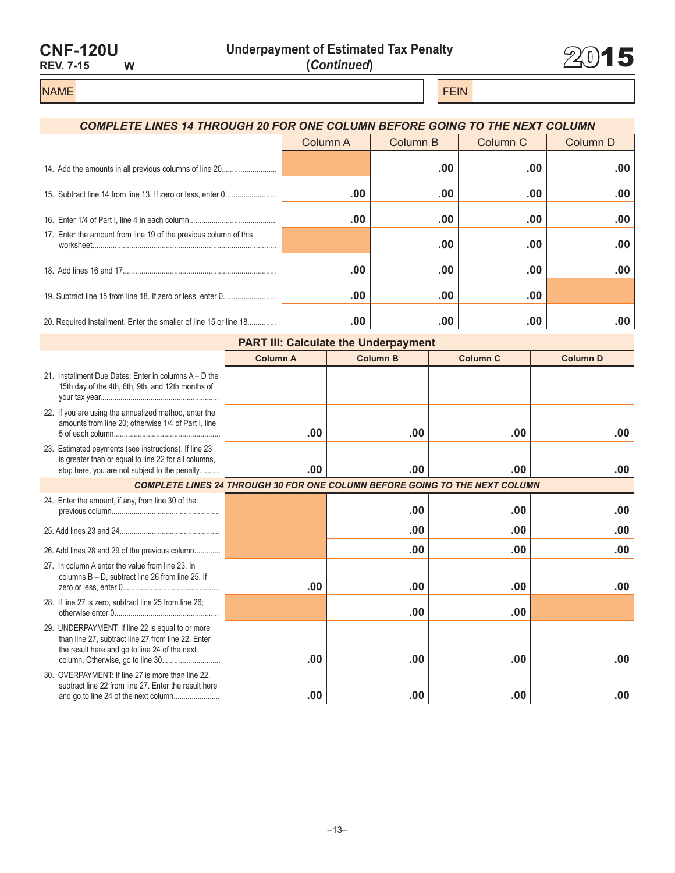| <b>CNF-120U</b>  |   |
|------------------|---|
| <b>REV. 7-15</b> | w |



### NAME FEIN AND RESERVE THE SERVE THAT IS A REPORT OF THE SERVE THAT IS A REPORT OF THE SERVE THAT IS A REPORT OF THE SERVE THAT IS A REPORT OF THE SERVE THAT IS A REPORT OF THE SERVE THAT IS A REPORT OF THE SERVE THAT IS A

# *COMPLETE LINES 14 THROUGH 20 FOR ONE COLUMN BEFORE GOING TO THE NEXT COLUMN* Column A Column B Column C Column D 14. Add the amounts in all previous columns of line 20........................... **.00 .00 .00** 15. Subtract line 14 from line 13. If zero or less, enter 0......................... **.00 .00 .00 .00** 16. Enter 1/4 of Part I, line 4 in each column........................................... **.00 .00 .00 .00** 17. Enter the amount from line 19 of the previous column of this worksheet.......................................................................................... **.00 .00 .00** 18. Add lines 16 and 17........................................................................... **.00 .00 .00 .00** 19. Subtract line 15 from line 18. If zero or less, enter 0.......................... **.00 .00 .00** 20. Required Installment. Enter the smaller of line 15 or line 18.............. **.00 .00 .00 .00**

| <b>PART III: Calculate the Underpayment</b>                                                                                                                    |                 |                                                                                    |                 |                 |  |  |
|----------------------------------------------------------------------------------------------------------------------------------------------------------------|-----------------|------------------------------------------------------------------------------------|-----------------|-----------------|--|--|
|                                                                                                                                                                | <b>Column A</b> | <b>Column B</b>                                                                    | <b>Column C</b> | <b>Column D</b> |  |  |
| 21. Installment Due Dates: Enter in columns A – D the<br>15th day of the 4th, 6th, 9th, and 12th months of                                                     |                 |                                                                                    |                 |                 |  |  |
| 22. If you are using the annualized method, enter the<br>amounts from line 20; otherwise 1/4 of Part I, line                                                   | .00             | .00                                                                                | $.00 \,$        | .00             |  |  |
| 23. Estimated payments (see instructions). If line 23<br>is greater than or equal to line 22 for all columns,<br>stop here, you are not subject to the penalty | .00             | .00                                                                                | .00             | .00             |  |  |
|                                                                                                                                                                |                 | <b>COMPLETE LINES 24 THROUGH 30 FOR ONE COLUMN BEFORE GOING TO THE NEXT COLUMN</b> |                 |                 |  |  |
| 24. Enter the amount, if any, from line 30 of the                                                                                                              |                 | .00                                                                                | $.00 \,$        | .00             |  |  |
|                                                                                                                                                                |                 | .00                                                                                | .00             | .00             |  |  |
| 26. Add lines 28 and 29 of the previous column                                                                                                                 |                 | .00                                                                                | .00             | .00             |  |  |
| 27. In column A enter the value from line 23. In<br>columns B - D, subtract line 26 from line 25. If                                                           | .00             | .00                                                                                | .00             | .00             |  |  |
| 28. If line 27 is zero, subtract line 25 from line 26;                                                                                                         |                 | .00                                                                                | .00             |                 |  |  |
| 29. UNDERPAYMENT: If line 22 is equal to or more<br>than line 27, subtract line 27 from line 22. Enter<br>the result here and go to line 24 of the next        | .00             | .00                                                                                | .00             | .00             |  |  |
| 30. OVERPAYMENT: If line 27 is more than line 22.<br>subtract line 22 from line 27. Enter the result here<br>and go to line 24 of the next column              | .00             | .00                                                                                | .00             | .00             |  |  |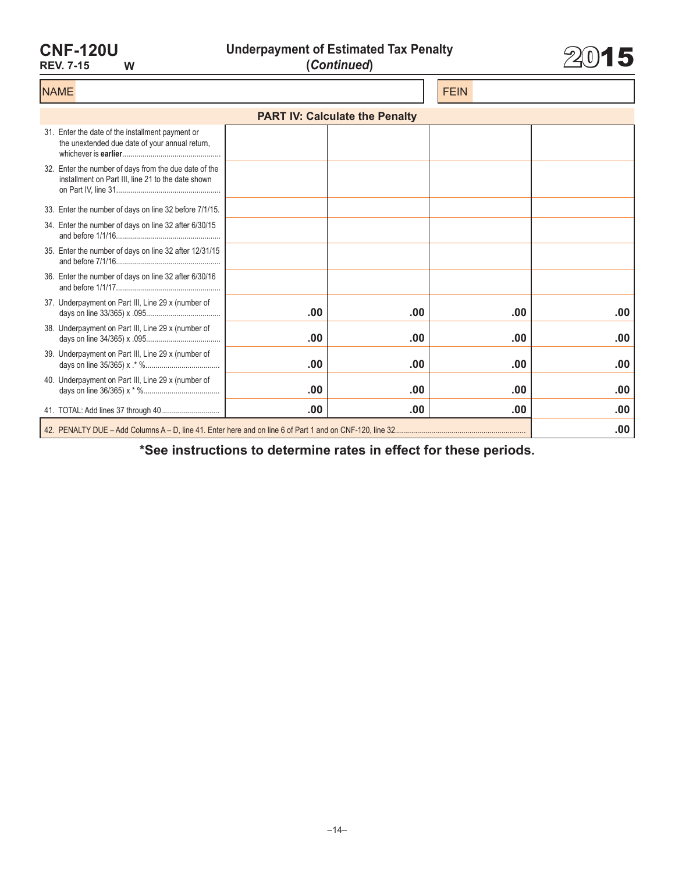**CNF-120U**

**REV. 7-15 W**

**Underpayment of Estimated Tax Penalty (***Continued***)** 2015



| <b>NAME</b>                                                                                                 |     |     | <b>FEIN</b> |     |  |  |  |
|-------------------------------------------------------------------------------------------------------------|-----|-----|-------------|-----|--|--|--|
| <b>PART IV: Calculate the Penalty</b>                                                                       |     |     |             |     |  |  |  |
| 31. Enter the date of the installment payment or<br>the unextended due date of your annual return,          |     |     |             |     |  |  |  |
| 32. Enter the number of days from the due date of the<br>installment on Part III, line 21 to the date shown |     |     |             |     |  |  |  |
| 33. Enter the number of days on line 32 before 7/1/15.                                                      |     |     |             |     |  |  |  |
| 34. Enter the number of days on line 32 after 6/30/15                                                       |     |     |             |     |  |  |  |
| 35. Enter the number of days on line 32 after 12/31/15                                                      |     |     |             |     |  |  |  |
| 36. Enter the number of days on line 32 after 6/30/16                                                       |     |     |             |     |  |  |  |
| 37. Underpayment on Part III, Line 29 x (number of                                                          | .00 | .00 | .00         | .00 |  |  |  |
| 38. Underpayment on Part III, Line 29 x (number of                                                          | .00 | .00 | .00         | .00 |  |  |  |
| 39. Underpayment on Part III, Line 29 x (number of                                                          | .00 | .00 | .00         | .00 |  |  |  |
| 40. Underpayment on Part III, Line 29 x (number of                                                          | .00 | .00 | .00         | .00 |  |  |  |
|                                                                                                             | .00 | .00 | .00         | .00 |  |  |  |
|                                                                                                             |     |     |             | .00 |  |  |  |

**\*See instructions to determine rates in effect for these periods.**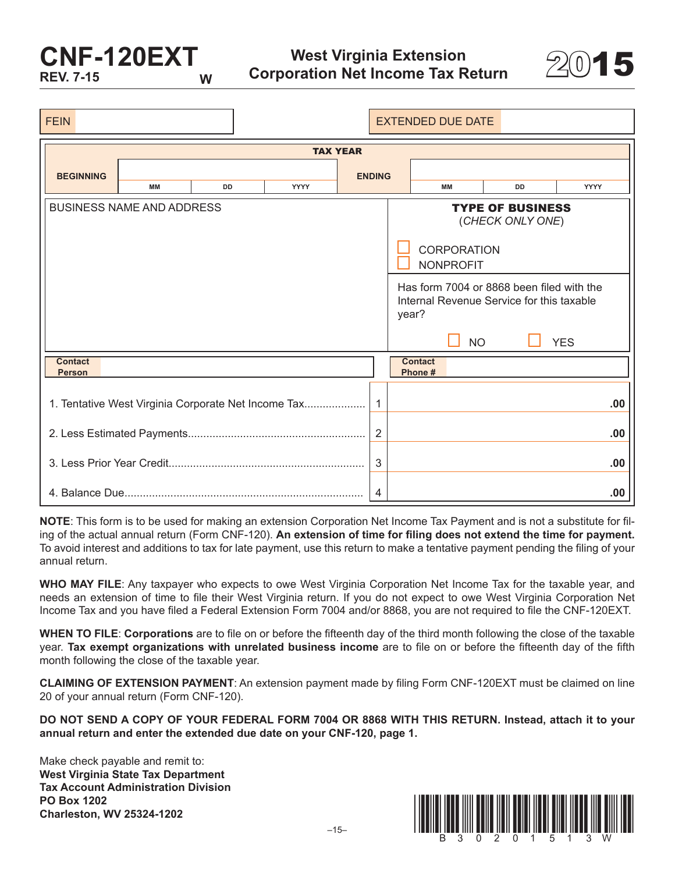# **CNF-120EXT REV. 7-15**



| <b>FEIN</b>                     |                                                     |           |                 |                | <b>EXTENDED DUE DATE</b>  |                    |                                                                                        |            |             |
|---------------------------------|-----------------------------------------------------|-----------|-----------------|----------------|---------------------------|--------------------|----------------------------------------------------------------------------------------|------------|-------------|
|                                 |                                                     |           | <b>TAX YEAR</b> |                |                           |                    |                                                                                        |            |             |
| <b>BEGINNING</b>                |                                                     |           |                 | <b>ENDING</b>  |                           |                    |                                                                                        |            |             |
|                                 | MM                                                  | <b>DD</b> | <b>YYYY</b>     |                |                           | MМ                 | <b>DD</b>                                                                              |            | <b>YYYY</b> |
|                                 | <b>BUSINESS NAME AND ADDRESS</b>                    |           |                 |                |                           | <b>CORPORATION</b> | <b>TYPE OF BUSINESS</b><br>(CHECK ONLY ONE)                                            |            |             |
|                                 |                                                     |           |                 |                |                           | <b>NONPROFIT</b>   |                                                                                        |            |             |
|                                 |                                                     |           |                 |                | year?                     |                    | Has form 7004 or 8868 been filed with the<br>Internal Revenue Service for this taxable |            |             |
|                                 |                                                     |           |                 |                |                           | <b>NO</b>          |                                                                                        | <b>YES</b> |             |
| <b>Contact</b><br><b>Person</b> |                                                     |           |                 |                | <b>Contact</b><br>Phone # |                    |                                                                                        |            |             |
|                                 | 1. Tentative West Virginia Corporate Net Income Tax |           |                 |                |                           |                    |                                                                                        |            | .00         |
|                                 |                                                     |           |                 | $\overline{2}$ |                           |                    |                                                                                        |            | .00         |
|                                 |                                                     |           |                 | 3              |                           |                    |                                                                                        |            | .00         |
|                                 |                                                     |           |                 | $\overline{4}$ |                           |                    |                                                                                        |            | .00         |

**NOTE**: This form is to be used for making an extension Corporation Net Income Tax Payment and is not a substitute for filing of the actual annual return (Form CNF-120). **An extension of time for filing does not extend the time for payment.** To avoid interest and additions to tax for late payment, use this return to make a tentative payment pending the filing of your annual return.

**WHO MAY FILE**: Any taxpayer who expects to owe West Virginia Corporation Net Income Tax for the taxable year, and needs an extension of time to file their West Virginia return. If you do not expect to owe West Virginia Corporation Net Income Tax and you have filed a Federal Extension Form 7004 and/or 8868, you are not required to file the CNF-120EXT.

**WHEN TO FILE**: **Corporations** are to file on or before the fifteenth day of the third month following the close of the taxable year. **Tax exempt organizations with unrelated business income** are to file on or before the fifteenth day of the fifth month following the close of the taxable year.

**CLAIMING OF EXTENSION PAYMENT**: An extension payment made by filing Form CNF-120EXT must be claimed on line 20 of your annual return (Form CNF-120).

**DO NOT SEND A COPY OF YOUR FEDERAL FORM 7004 OR 8868 WITH THIS RETURN. Instead, attach it to your annual return and enter the extended due date on your CNF-120, page 1.**

Make check payable and remit to: **West Virginia State Tax Department Tax Account Administration Division PO Box 1202**

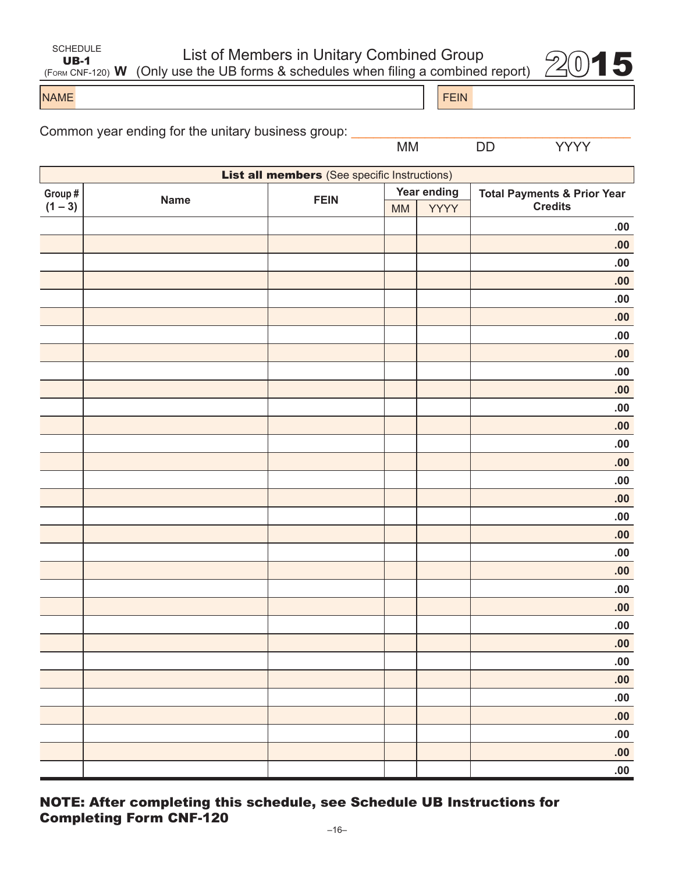| SCHEDULE |  |
|----------|--|
| UB-1     |  |

List of Members in Unitary Combined Group

UB-1<br>
UB-1<br>  $\frac{UB}{(FORM CNF-120)}$  W (Only use the UB forms & schedules when filing a combined report)  $2015$ 

NAME FEIN AND RESERVE THE SERVE THAT IS A REPORT OF THE SERVE THAT IS A REPORT OF THE SERVE THAT IS A REPORT OF THE SERVE THAT IS A REPORT OF THE SERVE THAT IS A REPORT OF THE SERVE THAT IS A REPORT OF THE SERVE THAT IS A

| Common year ending for the unitary business group: |  |
|----------------------------------------------------|--|
|----------------------------------------------------|--|

MM DD YYYY

|           | <b>List all members</b> (See specific Instructions) |             |           |             |                                        |  |  |
|-----------|-----------------------------------------------------|-------------|-----------|-------------|----------------------------------------|--|--|
| Group #   | <b>Name</b>                                         | <b>FEIN</b> |           | Year ending | <b>Total Payments &amp; Prior Year</b> |  |  |
| $(1 - 3)$ |                                                     |             | <b>MM</b> | <b>YYYY</b> | <b>Credits</b>                         |  |  |
|           |                                                     |             |           |             | .00.                                   |  |  |
|           |                                                     |             |           |             | .00                                    |  |  |
|           |                                                     |             |           |             | .00                                    |  |  |
|           |                                                     |             |           |             | .00                                    |  |  |
|           |                                                     |             |           |             | ${\bf .00}$                            |  |  |
|           |                                                     |             |           |             | .00                                    |  |  |
|           |                                                     |             |           |             | .00                                    |  |  |
|           |                                                     |             |           |             | .00                                    |  |  |
|           |                                                     |             |           |             | ${\bf .00}$                            |  |  |
|           |                                                     |             |           |             | .00                                    |  |  |
|           |                                                     |             |           |             | .00                                    |  |  |
|           |                                                     |             |           |             | .00                                    |  |  |
|           |                                                     |             |           |             | ${\bf .00}$                            |  |  |
|           |                                                     |             |           |             | .00                                    |  |  |
|           |                                                     |             |           |             | .00                                    |  |  |
|           |                                                     |             |           |             | .00                                    |  |  |
|           |                                                     |             |           |             | ${\bf .00}$                            |  |  |
|           |                                                     |             |           |             | .00                                    |  |  |
|           |                                                     |             |           |             | .00                                    |  |  |
|           |                                                     |             |           |             | .00                                    |  |  |
|           |                                                     |             |           |             | .00                                    |  |  |
|           |                                                     |             |           |             | .00                                    |  |  |
|           |                                                     |             |           |             | .00                                    |  |  |
|           |                                                     |             |           |             | .00                                    |  |  |
|           |                                                     |             |           |             | 00.                                    |  |  |
|           |                                                     |             |           |             | .00                                    |  |  |
|           |                                                     |             |           |             | .00.                                   |  |  |
|           |                                                     |             |           |             | .00                                    |  |  |
|           |                                                     |             |           |             | .00.                                   |  |  |
|           |                                                     |             |           |             | .00                                    |  |  |
|           |                                                     |             |           |             | .00.                                   |  |  |
|           |                                                     |             |           |             |                                        |  |  |

### NOTE: After completing this schedule, see Schedule UB Instructions for Completing Form CNF-120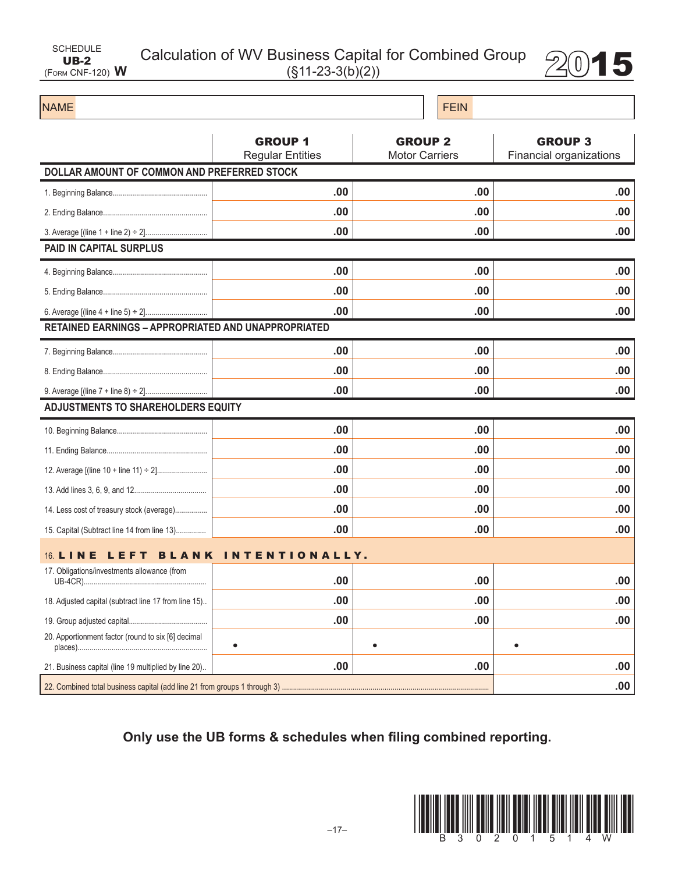| <b>SCHEDULE</b>          |  |
|--------------------------|--|
| UB-2                     |  |
| (FORM CNF-120) ${\sf W}$ |  |

# Calculation of WV Business Capital for Combined Group  $2015$



### NAME FEIN AND RESERVE THE SERVE THAT IS A REPORT OF THE SERVE THAT IS A REPORT OF THE SERVE THAT IS A REPORT OF THE SERVE THAT IS A REPORT OF THE SERVE THAT IS A REPORT OF THE SERVE THAT IS A REPORT OF THE SERVE THAT IS A GROUP 1 Regular Entities GROUP 2 Motor Carriers GROUP 3 Financial organizations **DOLLAR AMOUNT OF COMMON AND PREFERRED STOCK** 1. Beginning Balance............................................... **.00 .00 .00** 2. Ending Balance.................................................... **.00 .00 .00** 3. Average [(line 1 + line 2) ÷ 2]............................... **.00 .00 .00 PAID IN CAPITAL SURPLUS** 4. Beginning Balance............................................... **.00 .00 .00** 5. Ending Balance.................................................... **.00 .00 .00** 6. Average [(line 4 + line 5) ÷ 2]............................... **.00 .00 .00 RETAINED EARNINGS – APPROPRIATED AND UNAPPROPRIATED** 7. Beginning Balance............................................... **.00 .00 .00** 8. Ending Balance.................................................... **.00 .00 .00** 9. Average [(line 7 + line 8) ÷ 2]............................... **.00 .00 .00 ADJUSTMENTS TO SHAREHOLDERS EQUITY** 10. Beginning Balance............................................. **.00 .00 .00** 11. Ending Balance.................................................. **.00 .00 .00** 12. Average [(line 10 + line 11) ÷ 2]......................... **.00 .00 .00** 13. Add lines 3, 6, 9, and 12.................................... **.00 .00 .00** 14. Less cost of treasury stock (average)................ **.00 .00 .00** 15. Capital (Subtract line 14 from line 13)............... **.00 .00 .00** 16. LINE LEFT BLANK INTENTIONALLY . 17. Obligations/investments allowance (from UB-4CR)............................................................. **.00 .00 .00** 18. Adjusted capital (subtract line 17 from line 15).. **.00 .00 .00** 19. Group adjusted capital....................................... **.00 .00 .00** 20. Apportionment factor (round to six [6] decimal places)................................................................. **• • •**  21. Business capital (line 19 multiplied by line 20).. **.00 .00 .00 .00 .00 .00 .00 .00 .00 .00 .00 .00 .00 .00 .00 .00 .00 .00 .00 .00 .00 .00 .00 .00 .00 .00 .00 .00** 22. Combined total business capital (add line 21 from groups 1 through 3) ....................................................................................................... **.00**

**Only use the UB forms & schedules when filing combined reporting.**

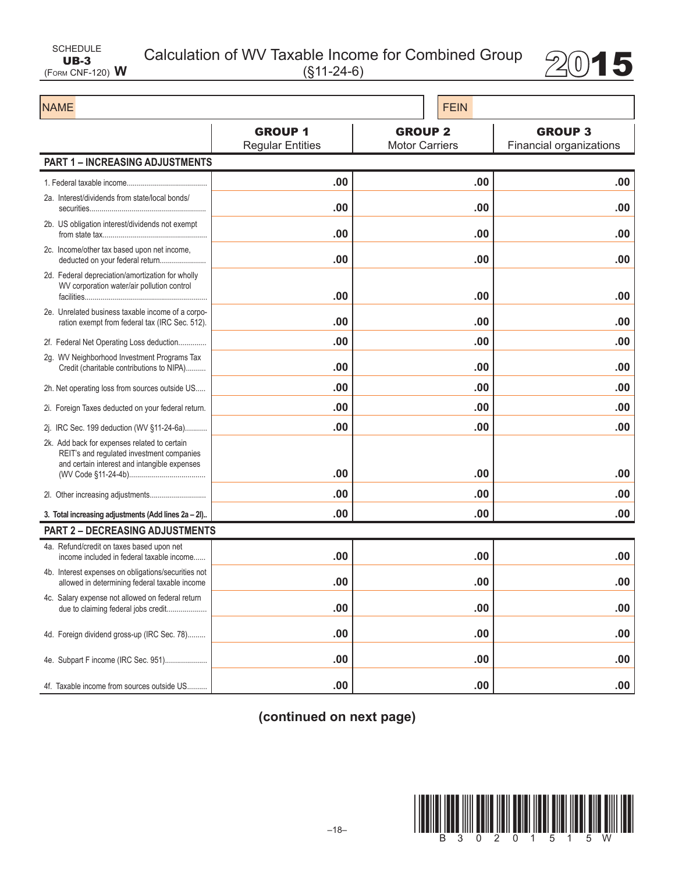| SCHEDULE                |  |
|-------------------------|--|
| $UB-3$                  |  |
| (FORM CNF-120) $\bm{W}$ |  |

Calculation of WV Taxable Income for Combined Group 2015



| <b>NAME</b>                                                                                                                               |                                           | <b>FEIN</b>                             |                                           |
|-------------------------------------------------------------------------------------------------------------------------------------------|-------------------------------------------|-----------------------------------------|-------------------------------------------|
|                                                                                                                                           | <b>GROUP 1</b><br><b>Regular Entities</b> | <b>GROUP 2</b><br><b>Motor Carriers</b> | <b>GROUP 3</b><br>Financial organizations |
| <b>PART 1 - INCREASING ADJUSTMENTS</b>                                                                                                    |                                           |                                         |                                           |
|                                                                                                                                           | .00                                       | .00                                     | .00                                       |
| 2a. Interest/dividends from state/local bonds/                                                                                            | .00                                       | .00                                     | .00                                       |
| 2b. US obligation interest/dividends not exempt                                                                                           | .00                                       | .00                                     | .00                                       |
| 2c. Income/other tax based upon net income,<br>deducted on your federal return                                                            | .00                                       | .00                                     | .00                                       |
| 2d. Federal depreciation/amortization for wholly<br>WV corporation water/air pollution control                                            | .00                                       | .00                                     | .00                                       |
| 2e. Unrelated business taxable income of a corpo-<br>ration exempt from federal tax (IRC Sec. 512).                                       | .00                                       | .00                                     | .00                                       |
| 2f. Federal Net Operating Loss deduction                                                                                                  | .00                                       | .00                                     | .00                                       |
| 2g. WV Neighborhood Investment Programs Tax<br>Credit (charitable contributions to NIPA)                                                  | .00                                       | .00                                     | .00                                       |
| 2h. Net operating loss from sources outside US                                                                                            | .00                                       | .00                                     | .00                                       |
| 2i. Foreign Taxes deducted on your federal return.                                                                                        | .00                                       | .00                                     | .00                                       |
| 2j. IRC Sec. 199 deduction (WV §11-24-6a)                                                                                                 | .00                                       | .00                                     | .00                                       |
| 2k. Add back for expenses related to certain<br>REIT's and regulated investment companies<br>and certain interest and intangible expenses |                                           |                                         |                                           |
|                                                                                                                                           | .00                                       | .00                                     | .00                                       |
|                                                                                                                                           | .00                                       | .00                                     | .00                                       |
| 3. Total increasing adjustments (Add lines 2a - 2l)                                                                                       | .00                                       | .00                                     | .00                                       |
| <b>PART 2 - DECREASING ADJUSTMENTS</b>                                                                                                    |                                           |                                         |                                           |
| 4a. Refund/credit on taxes based upon net<br>income included in federal taxable income                                                    | .00                                       | .00                                     | .00                                       |
| 4b. Interest expenses on obligations/securities not<br>allowed in determining federal taxable income                                      | .00                                       | .00                                     | .00                                       |
| 4c. Salary expense not allowed on federal return<br>due to claiming federal jobs credit                                                   | .00                                       | .00                                     | .00                                       |
| 4d. Foreign dividend gross-up (IRC Sec. 78)                                                                                               | .00                                       | .00                                     | .00                                       |
| 4e. Subpart F income (IRC Sec. 951)                                                                                                       | .00                                       | .00                                     | .00                                       |
| 4f. Taxable income from sources outside US                                                                                                | .00                                       | .00                                     | .00                                       |

**(continued on next page)**

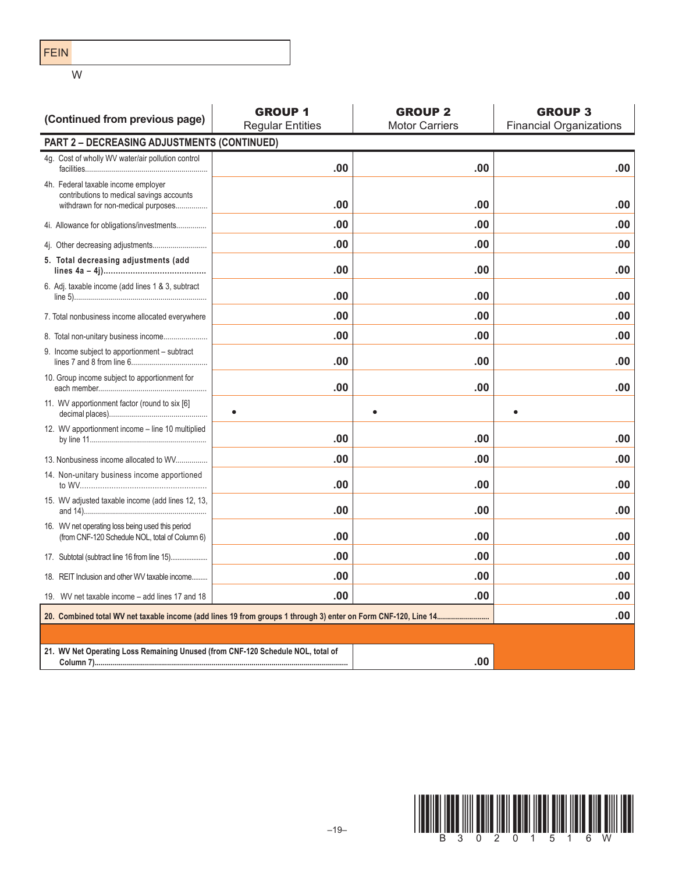FEIN

W

| (Continued from previous page)                                                                                         | <b>GROUP 1</b><br><b>Regular Entities</b> | <b>GROUP 2</b><br><b>Motor Carriers</b> | <b>GROUP 3</b><br><b>Financial Organizations</b> |
|------------------------------------------------------------------------------------------------------------------------|-------------------------------------------|-----------------------------------------|--------------------------------------------------|
| PART 2 - DECREASING ADJUSTMENTS (CONTINUED)                                                                            |                                           |                                         |                                                  |
| 4g. Cost of wholly WV water/air pollution control                                                                      | .00                                       | .00                                     | .00                                              |
| 4h. Federal taxable income employer<br>contributions to medical savings accounts<br>withdrawn for non-medical purposes | .00                                       | .00                                     | .00                                              |
| 4i. Allowance for obligations/investments                                                                              | .00                                       | .00                                     | .00                                              |
|                                                                                                                        | .00                                       | .00                                     | .00                                              |
| 5. Total decreasing adjustments (add                                                                                   | .00                                       | .00                                     | .00                                              |
| 6. Adj. taxable income (add lines 1 & 3, subtract                                                                      | .00                                       | .00                                     | .00                                              |
| 7. Total nonbusiness income allocated everywhere                                                                       | .00                                       | .00                                     | .00                                              |
| 8. Total non-unitary business income                                                                                   | .00                                       | .00                                     | .00                                              |
| 9. Income subject to apportionment – subtract                                                                          | .00                                       | .00                                     | .00                                              |
| 10. Group income subject to apportionment for                                                                          | .00                                       | .00                                     | .00                                              |
| 11. WV apportionment factor (round to six [6]                                                                          |                                           |                                         |                                                  |
| 12. WV apportionment income - line 10 multiplied                                                                       | .00                                       | .00                                     | .00                                              |
| 13. Nonbusiness income allocated to WV                                                                                 | .00                                       | .00                                     | .00                                              |
| 14. Non-unitary business income apportioned                                                                            | .00                                       | .00                                     | .00                                              |
| 15. WV adjusted taxable income (add lines 12, 13,                                                                      | .00                                       | .00                                     | .00                                              |
| 16. WV net operating loss being used this period<br>(from CNF-120 Schedule NOL, total of Column 6)                     | .00                                       | .00                                     | .00                                              |
|                                                                                                                        | .00                                       | .00                                     | .00                                              |
| 18. REIT Inclusion and other WV taxable income                                                                         | .00                                       | .00                                     | .00                                              |
| 19. WV net taxable income – add lines 17 and 18                                                                        | .00                                       | .00                                     | .00                                              |
|                                                                                                                        |                                           |                                         | .00                                              |
|                                                                                                                        |                                           |                                         |                                                  |
| 21. WV Net Operating Loss Remaining Unused (from CNF-120 Schedule NOL, total of                                        |                                           | .00                                     |                                                  |

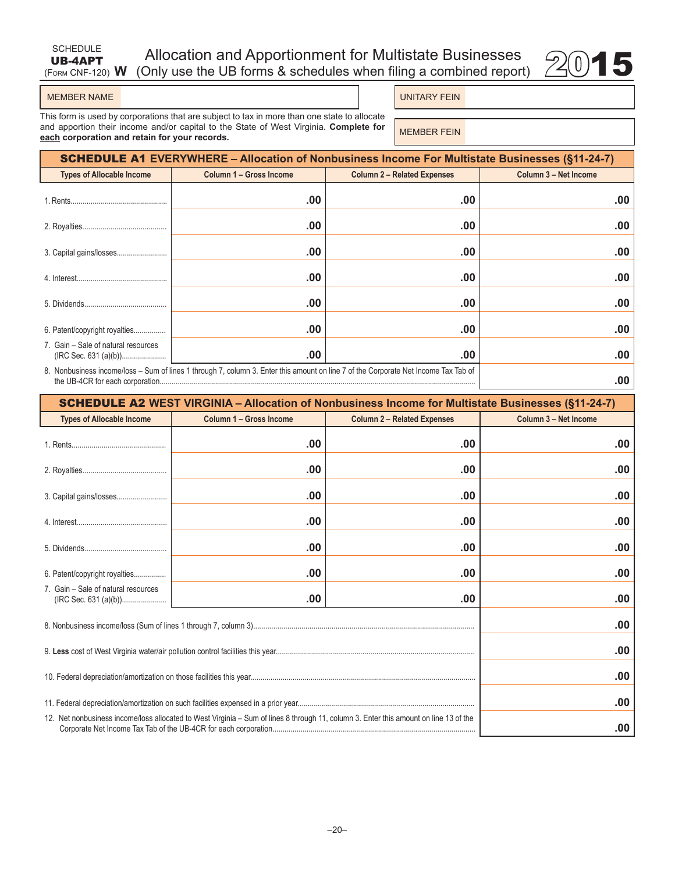#### (Form CNF-120) **W** Allocation and Apportionment for Multistate Businesses (Only use the UB forms & schedules when filing a combined report)



#### MEMBER NAME **UNITARY FEIN**

SCHEDULE UB-4APT

This form is used by corporations that are subject to tax in more than one state to allocate and apportion their income and/or capital to the State of West Virginia. **Complete for**  and apportion their income and/or capital to the state of west virginia. Complete for **MEMBER FEIN**<br>**each** corporation and retain for your records.

| <b>SCHEDULE A1 EVERYWHERE – Allocation of Nonbusiness Income For Multistate Businesses (§11-24-7)</b>                                      |                         |                                    |                       |  |
|--------------------------------------------------------------------------------------------------------------------------------------------|-------------------------|------------------------------------|-----------------------|--|
| <b>Types of Allocable Income</b>                                                                                                           | Column 1 - Gross Income | <b>Column 2 - Related Expenses</b> | Column 3 - Net Income |  |
|                                                                                                                                            | .00                     | .00                                | .00                   |  |
|                                                                                                                                            | .00                     | .00                                | .00                   |  |
|                                                                                                                                            | .00                     | .00                                | .00                   |  |
|                                                                                                                                            | .00                     | .00                                | .00                   |  |
|                                                                                                                                            | .00                     | .00                                | .00                   |  |
| 6. Patent/copyright royalties                                                                                                              | .00                     | .00                                | .00                   |  |
| 7. Gain - Sale of natural resources                                                                                                        | .00                     | .00                                | .00                   |  |
| 8. Nonbusiness income/loss - Sum of lines 1 through 7, column 3. Enter this amount on line 7 of the Corporate Net Income Tax Tab of<br>.00 |                         |                                    |                       |  |

| <b>SCHEDULE A2 WEST VIRGINIA - Allocation of Nonbusiness Income for Multistate Businesses (§11-24-7)</b>                              |                         |                                    |                       |  |
|---------------------------------------------------------------------------------------------------------------------------------------|-------------------------|------------------------------------|-----------------------|--|
| <b>Types of Allocable Income</b>                                                                                                      | Column 1 - Gross Income | <b>Column 2 - Related Expenses</b> | Column 3 - Net Income |  |
|                                                                                                                                       | .00                     | .00                                | .00                   |  |
|                                                                                                                                       | .00                     | .00                                | .00                   |  |
|                                                                                                                                       | .00                     | .00                                | .00                   |  |
|                                                                                                                                       | .00                     | .00                                | .00                   |  |
|                                                                                                                                       | .00                     | .00                                | .00                   |  |
| 6. Patent/copyright royalties                                                                                                         | .00                     | .00                                | .00                   |  |
| 7. Gain - Sale of natural resources<br>(IRC Sec. 631 (a)(b))                                                                          | .00                     | .00                                | .00                   |  |
| .00                                                                                                                                   |                         |                                    |                       |  |
|                                                                                                                                       | .00                     |                                    |                       |  |
|                                                                                                                                       |                         |                                    | .00                   |  |
|                                                                                                                                       | .00                     |                                    |                       |  |
| 12. Net nonbusiness income/loss allocated to West Virginia – Sum of lines 8 through 11, column 3. Enter this amount on line 13 of the | .00                     |                                    |                       |  |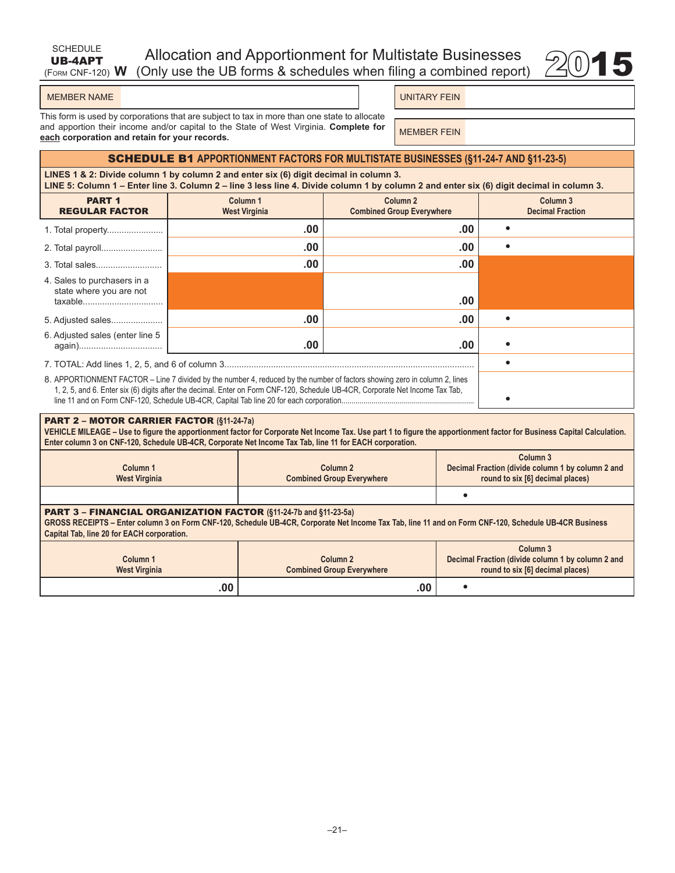| <b>SCHEDULE</b> | Allocation and Apportionment for Multistate Businesses                                 |  |
|-----------------|----------------------------------------------------------------------------------------|--|
|                 | <b>UB-4APT</b> Allocation and Apportionment for Multistate Businesses $\mathbb{Z}$ 015 |  |



| <b>MEMBER NAME</b> |  |
|--------------------|--|

UNITARY FEIN

This form is used by corporations that are subject to tax in more than one state to allocate and apportion their income and/or capital to the State of West Virginia. **Complete for**  and apportion their income and/or capital to the state of west virginia. Complete for **MEMBER FEIN**<br>**each** corporation and retain for your records.

### SCHEDULE B1 **APPORTIONMENT FACTORS FOR MULTISTATE BUSINESSES (§11-24-7 AND §11-23-5)**

**LINES 1 & 2: Divide column 1 by column 2 and enter six (6) digit decimal in column 3. LINE 5: Column 1 – Enter line 3. Column 2 – line 3 less line 4. Divide column 1 by column 2 and enter six (6) digit decimal in column 3.**

| <b>PART 1</b><br><b>REGULAR FACTOR</b>                                                                                                                                                                                                                      | Column <sub>1</sub><br><b>West Virginia</b> | Column <sub>2</sub><br><b>Combined Group Everywhere</b> |  | Column <sub>3</sub><br><b>Decimal Fraction</b> |
|-------------------------------------------------------------------------------------------------------------------------------------------------------------------------------------------------------------------------------------------------------------|---------------------------------------------|---------------------------------------------------------|--|------------------------------------------------|
| 1. Total property                                                                                                                                                                                                                                           | .00                                         | .00                                                     |  |                                                |
|                                                                                                                                                                                                                                                             | .00                                         | .00                                                     |  |                                                |
|                                                                                                                                                                                                                                                             | .00                                         | .00                                                     |  |                                                |
| 4. Sales to purchasers in a                                                                                                                                                                                                                                 |                                             |                                                         |  |                                                |
| state where you are not<br>taxable                                                                                                                                                                                                                          |                                             | .00                                                     |  |                                                |
| 5. Adjusted sales                                                                                                                                                                                                                                           | .00                                         | .00                                                     |  |                                                |
| 6. Adjusted sales (enter line 5                                                                                                                                                                                                                             | .00                                         | .00                                                     |  |                                                |
|                                                                                                                                                                                                                                                             |                                             |                                                         |  |                                                |
| 8. APPORTIONMENT FACTOR – Line 7 divided by the number 4, reduced by the number of factors showing zero in column 2, lines<br>1, 2, 5, and 6. Enter six (6) digits after the decimal. Enter on Form CNF-120, Schedule UB-4CR, Corporate Net Income Tax Tab, |                                             |                                                         |  |                                                |

#### PART 2 – MOTOR CARRIER FACTOR **(§11-24-7a)**

**VEHICLE MILEAGE – Use to figure the apportionment factor for Corporate Net Income Tax. Use part 1 to figure the apportionment factor for Business Capital Calculation. Enter column 3 on CNF-120, Schedule UB-4CR, Corporate Net Income Tax Tab, line 11 for EACH corporation.**

| Column <sub>1</sub><br><b>West Virginia</b>                                                                                                                                                                                                                                    | Column <sub>2</sub><br><b>Combined Group Everywhere</b> | Column <sub>3</sub><br>Decimal Fraction (divide column 1 by column 2 and<br>round to six [6] decimal places) |
|--------------------------------------------------------------------------------------------------------------------------------------------------------------------------------------------------------------------------------------------------------------------------------|---------------------------------------------------------|--------------------------------------------------------------------------------------------------------------|
|                                                                                                                                                                                                                                                                                |                                                         |                                                                                                              |
| <b>PART 3 - FINANCIAL ORGANIZATION FACTOR (§11-24-7b and §11-23-5a)</b><br>GROSS RECEIPTS - Enter column 3 on Form CNF-120, Schedule UB-4CR, Corporate Net Income Tax Tab, line 11 and on Form CNF-120, Schedule UB-4CR Business<br>Capital Tab, line 20 for EACH corporation. |                                                         |                                                                                                              |
| Column <sub>1</sub><br><b>West Virginia</b>                                                                                                                                                                                                                                    | Column <sub>2</sub><br><b>Combined Group Everywhere</b> | Column <sub>3</sub><br>Decimal Fraction (divide column 1 by column 2 and<br>round to six [6] decimal places) |
| .00                                                                                                                                                                                                                                                                            | .00                                                     |                                                                                                              |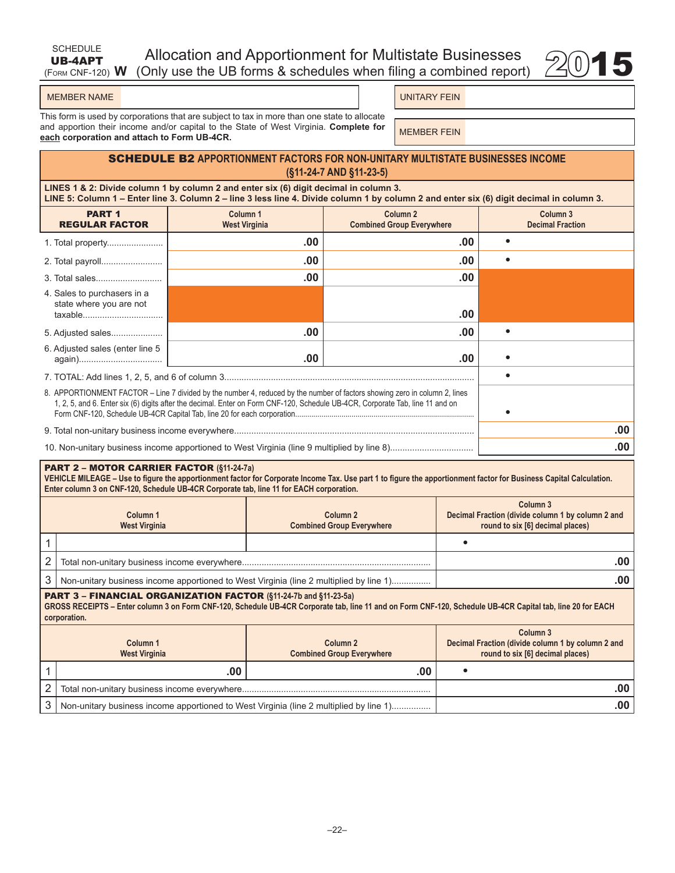| SCHEDULE | Allocation and Apportionment for Multistate Businesses                            |  |
|----------|-----------------------------------------------------------------------------------|--|
|          | UB-4APT Allocation and Apportionment for Multistate Businesses $\mathcal{Q}_0$ 15 |  |



#### MEMBER NAME UNITARY FEIN

This form is used by corporations that are subject to tax in more than one state to allocate and apportion their income and/or capital to the State of West Virginia. **Complete for**  and apportion their income and/or capital to the state of west virginia. Complete for **MEMBER FEIN**<br>each corporation and attach to Form UB-4CR.

### SCHEDULE B2 **APPORTIONMENT FACTORS FOR NON-UNITARY MULTISTATE BUSINESSES INCOME (§11-24-7 AND §11-23-5)**

**LINES 1 & 2: Divide column 1 by column 2 and enter six (6) digit decimal in column 3. LINE 5: Column 1 – Enter line 3. Column 2 – line 3 less line 4. Divide column 1 by column 2 and enter six (6) digit decimal in column 3.**

| <b>PART 1</b><br><b>REGULAR FACTOR</b>                                                                                                                                                                                                                      | Column <sub>1</sub><br><b>West Virginia</b> | Column <sub>2</sub><br><b>Combined Group Everywhere</b> |  | Column 3<br><b>Decimal Fraction</b> |      |
|-------------------------------------------------------------------------------------------------------------------------------------------------------------------------------------------------------------------------------------------------------------|---------------------------------------------|---------------------------------------------------------|--|-------------------------------------|------|
|                                                                                                                                                                                                                                                             | .00                                         | .00                                                     |  |                                     |      |
|                                                                                                                                                                                                                                                             | .00                                         | .00                                                     |  |                                     |      |
|                                                                                                                                                                                                                                                             | .00                                         | .00                                                     |  |                                     |      |
| 4. Sales to purchasers in a<br>state where you are not<br>taxable                                                                                                                                                                                           |                                             | .00                                                     |  |                                     |      |
| 5. Adjusted sales                                                                                                                                                                                                                                           | .00                                         | .00                                                     |  |                                     |      |
| 6. Adjusted sales (enter line 5                                                                                                                                                                                                                             | .00                                         | .00                                                     |  |                                     |      |
|                                                                                                                                                                                                                                                             |                                             |                                                         |  |                                     |      |
| 8. APPORTIONMENT FACTOR – Line 7 divided by the number 4, reduced by the number of factors showing zero in column 2, lines<br>1, 2, 5, and 6. Enter six (6) digits after the decimal. Enter on Form CNF-120, Schedule UB-4CR, Corporate Tab, line 11 and on |                                             |                                                         |  |                                     |      |
|                                                                                                                                                                                                                                                             |                                             |                                                         |  |                                     | .00. |
|                                                                                                                                                                                                                                                             |                                             |                                                         |  |                                     | .00  |

#### PART 2 – MOTOR CARRIER FACTOR **(§11-24-7a)**

**VEHICLE MILEAGE – Use to figure the apportionment factor for Corporate Income Tax. Use part 1 to figure the apportionment factor for Business Capital Calculation. Enter column 3 on CNF-120, Schedule UB-4CR Corporate tab, line 11 for EACH corporation.**

|   | Column 1<br><b>West Virginia</b>                                                       | Column 2<br><b>Combined Group Everywhere</b> | Column <sub>3</sub><br>Decimal Fraction (divide column 1 by column 2 and<br>round to six [6] decimal places) |  |
|---|----------------------------------------------------------------------------------------|----------------------------------------------|--------------------------------------------------------------------------------------------------------------|--|
|   |                                                                                        |                                              |                                                                                                              |  |
|   |                                                                                        |                                              | .00                                                                                                          |  |
| 3 | Non-unitary business income apportioned to West Virginia (line 2 multiplied by line 1) | .00                                          |                                                                                                              |  |
|   | <b>PART 3 - FINANCIAL ORGANIZATION FACTOR (§11-24-7b and §11-23-5a)</b>                |                                              |                                                                                                              |  |

**GROSS RECEIPTS – Enter column 3 on Form CNF-120, Schedule UB-4CR Corporate tab, line 11 and on Form CNF-120, Schedule UB-4CR Capital tab, line 20 for EACH corporation.**

| Column 1<br><b>West Virginia</b> |                                                                                        | Column 2<br><b>Combined Group Everywhere</b> | Column 3<br>Decimal Fraction (divide column 1 by column 2 and<br>round to six [6] decimal places) |  |
|----------------------------------|----------------------------------------------------------------------------------------|----------------------------------------------|---------------------------------------------------------------------------------------------------|--|
|                                  | .00                                                                                    | .00                                          |                                                                                                   |  |
|                                  |                                                                                        |                                              |                                                                                                   |  |
|                                  | Non-unitary business income apportioned to West Virginia (line 2 multiplied by line 1) |                                              |                                                                                                   |  |